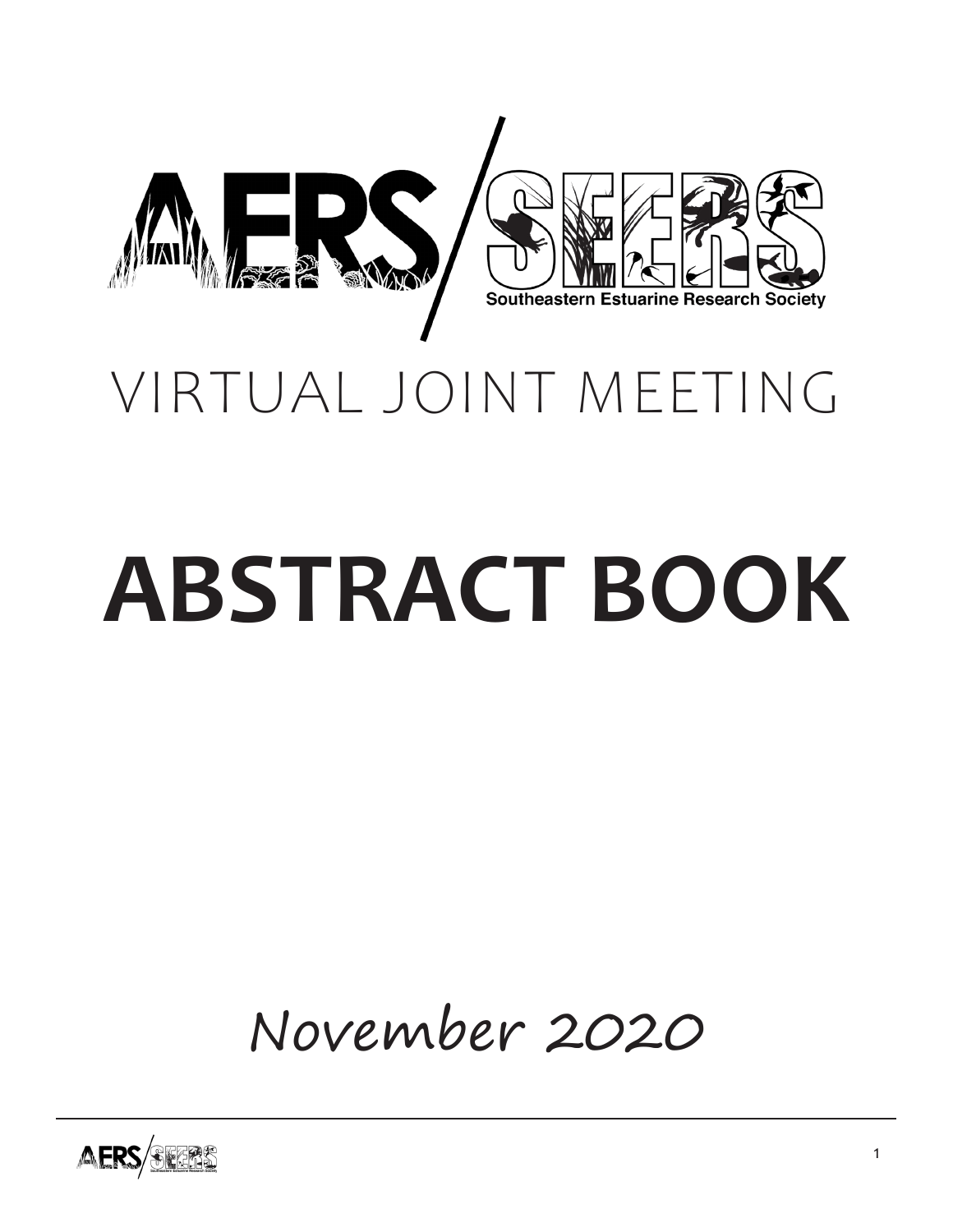

# **ABSTRACT BOOK**

November 2020

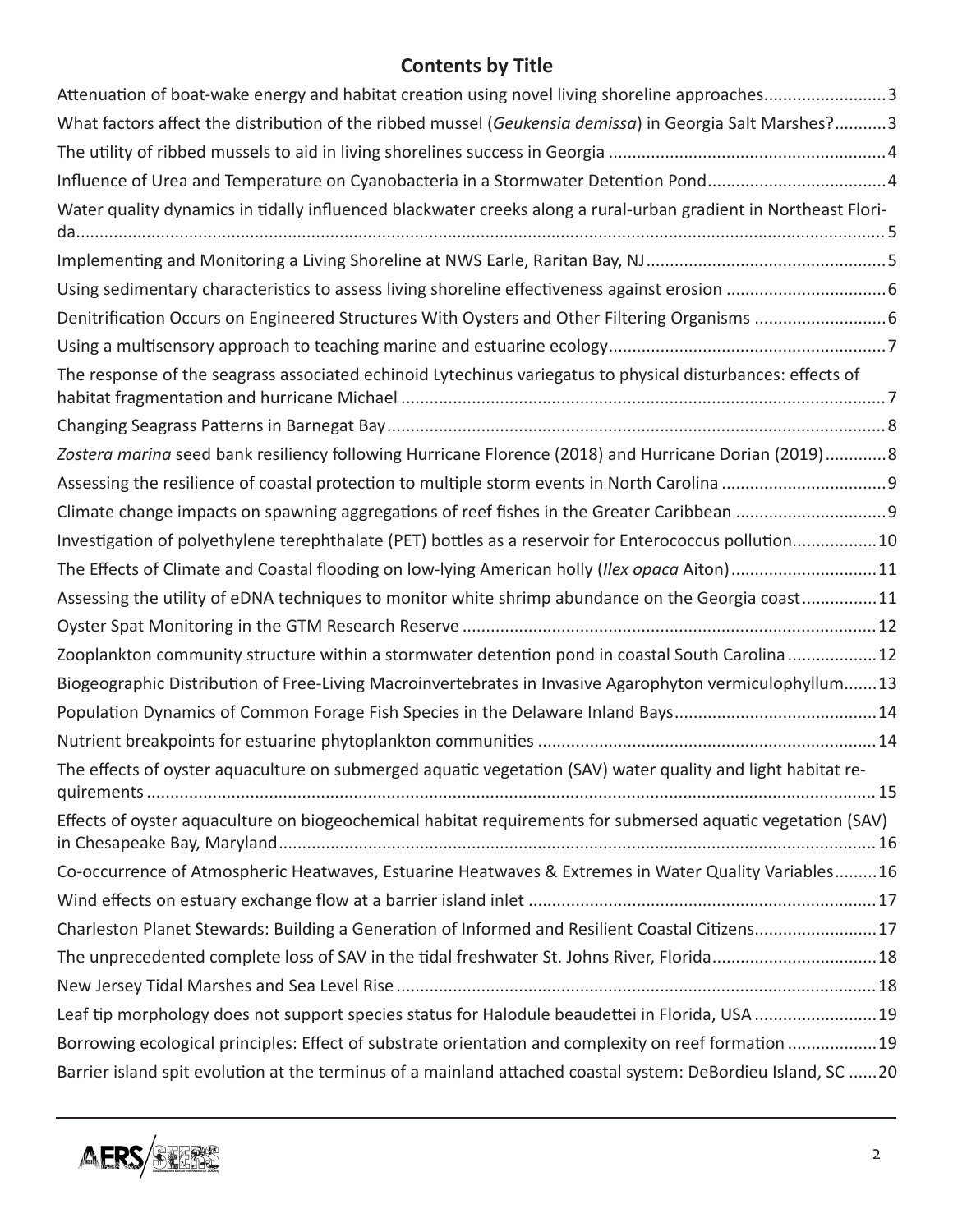# **Contents by Title**

| Attenuation of boat-wake energy and habitat creation using novel living shoreline approaches3                   |  |
|-----------------------------------------------------------------------------------------------------------------|--|
| What factors affect the distribution of the ribbed mussel (Geukensia demissa) in Georgia Salt Marshes?3         |  |
|                                                                                                                 |  |
| Influence of Urea and Temperature on Cyanobacteria in a Stormwater Detention Pond4                              |  |
| Water quality dynamics in tidally influenced blackwater creeks along a rural-urban gradient in Northeast Flori- |  |
|                                                                                                                 |  |
|                                                                                                                 |  |
| Denitrification Occurs on Engineered Structures With Oysters and Other Filtering Organisms  6                   |  |
|                                                                                                                 |  |
| The response of the seagrass associated echinoid Lytechinus variegatus to physical disturbances: effects of     |  |
|                                                                                                                 |  |
| Zostera marina seed bank resiliency following Hurricane Florence (2018) and Hurricane Dorian (2019)8            |  |
|                                                                                                                 |  |
|                                                                                                                 |  |
| Investigation of polyethylene terephthalate (PET) bottles as a reservoir for Enterococcus pollution10           |  |
| The Effects of Climate and Coastal flooding on low-lying American holly (Ilex opaca Aiton)11                    |  |
| Assessing the utility of eDNA techniques to monitor white shrimp abundance on the Georgia coast11               |  |
|                                                                                                                 |  |
| Zooplankton community structure within a stormwater detention pond in coastal South Carolina12                  |  |
| Biogeographic Distribution of Free-Living Macroinvertebrates in Invasive Agarophyton vermiculophyllum13         |  |
|                                                                                                                 |  |
|                                                                                                                 |  |
| The effects of oyster aquaculture on submerged aquatic vegetation (SAV) water quality and light habitat re-     |  |
| Effects of oyster aquaculture on biogeochemical habitat requirements for submersed aquatic vegetation (SAV)     |  |
| Co-occurrence of Atmospheric Heatwaves, Estuarine Heatwaves & Extremes in Water Quality Variables16             |  |
|                                                                                                                 |  |
| Charleston Planet Stewards: Building a Generation of Informed and Resilient Coastal Citizens17                  |  |
| The unprecedented complete loss of SAV in the tidal freshwater St. Johns River, Florida18                       |  |
|                                                                                                                 |  |
| Leaf tip morphology does not support species status for Halodule beaudettei in Florida, USA 19                  |  |
| Borrowing ecological principles: Effect of substrate orientation and complexity on reef formation 19            |  |
| Barrier island spit evolution at the terminus of a mainland attached coastal system: DeBordieu Island, SC 20    |  |

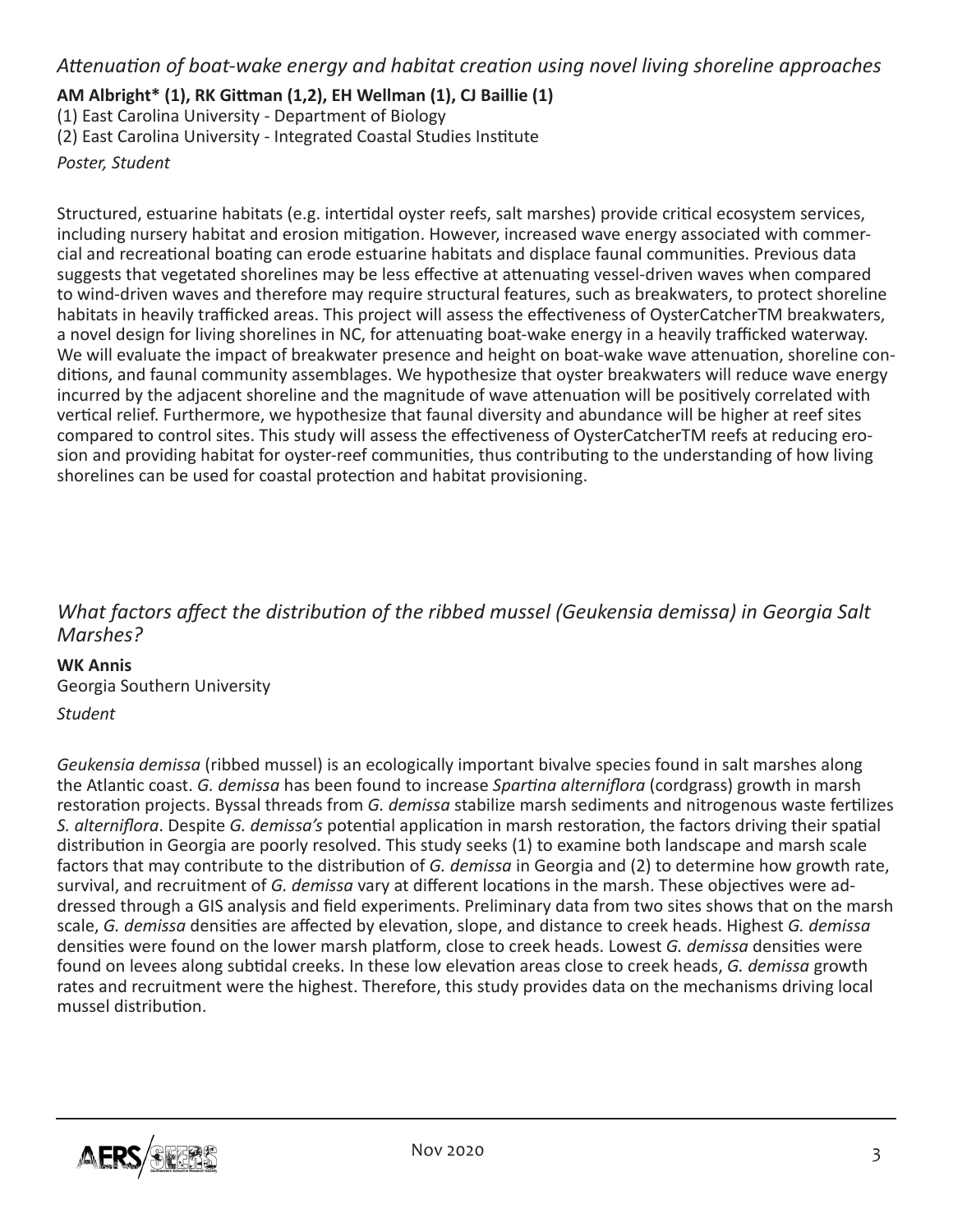*Attenuation of boat-wake energy and habitat creation using novel living shoreline approaches*

#### **AM Albright\* (1), RK Gittman (1,2), EH Wellman (1), CJ Baillie (1)**

(1) East Carolina University - Department of Biology

(2) East Carolina University - Integrated Coastal Studies Institute

*Poster, Student*

Structured, estuarine habitats (e.g. intertidal oyster reefs, salt marshes) provide critical ecosystem services, including nursery habitat and erosion mitigation. However, increased wave energy associated with commercial and recreational boating can erode estuarine habitats and displace faunal communities. Previous data suggests that vegetated shorelines may be less effective at attenuating vessel-driven waves when compared to wind-driven waves and therefore may require structural features, such as breakwaters, to protect shoreline habitats in heavily trafficked areas. This project will assess the effectiveness of OysterCatcherTM breakwaters, a novel design for living shorelines in NC, for attenuating boat-wake energy in a heavily trafficked waterway. We will evaluate the impact of breakwater presence and height on boat-wake wave attenuation, shoreline conditions, and faunal community assemblages. We hypothesize that oyster breakwaters will reduce wave energy incurred by the adjacent shoreline and the magnitude of wave attenuation will be positively correlated with vertical relief. Furthermore, we hypothesize that faunal diversity and abundance will be higher at reef sites compared to control sites. This study will assess the effectiveness of OysterCatcherTM reefs at reducing erosion and providing habitat for oyster-reef communities, thus contributing to the understanding of how living shorelines can be used for coastal protection and habitat provisioning.

# *What factors affect the distribution of the ribbed mussel (Geukensia demissa) in Georgia Salt Marshes?*

#### **WK Annis**

Georgia Southern University

#### *Student*

*Geukensia demissa* (ribbed mussel) is an ecologically important bivalve species found in salt marshes along the Atlantic coast. *G. demissa* has been found to increase *Spartina alterniflora* (cordgrass) growth in marsh restoration projects. Byssal threads from *G. demissa* stabilize marsh sediments and nitrogenous waste fertilizes *S. alterniflora*. Despite *G. demissa's* potential application in marsh restoration, the factors driving their spatial distribution in Georgia are poorly resolved. This study seeks (1) to examine both landscape and marsh scale factors that may contribute to the distribution of *G. demissa* in Georgia and (2) to determine how growth rate, survival, and recruitment of *G. demissa* vary at different locations in the marsh. These objectives were addressed through a GIS analysis and field experiments. Preliminary data from two sites shows that on the marsh scale, *G. demissa* densities are affected by elevation, slope, and distance to creek heads. Highest *G. demissa* densities were found on the lower marsh platform, close to creek heads. Lowest *G. demissa* densities were found on levees along subtidal creeks. In these low elevation areas close to creek heads, *G. demissa* growth rates and recruitment were the highest. Therefore, this study provides data on the mechanisms driving local mussel distribution.

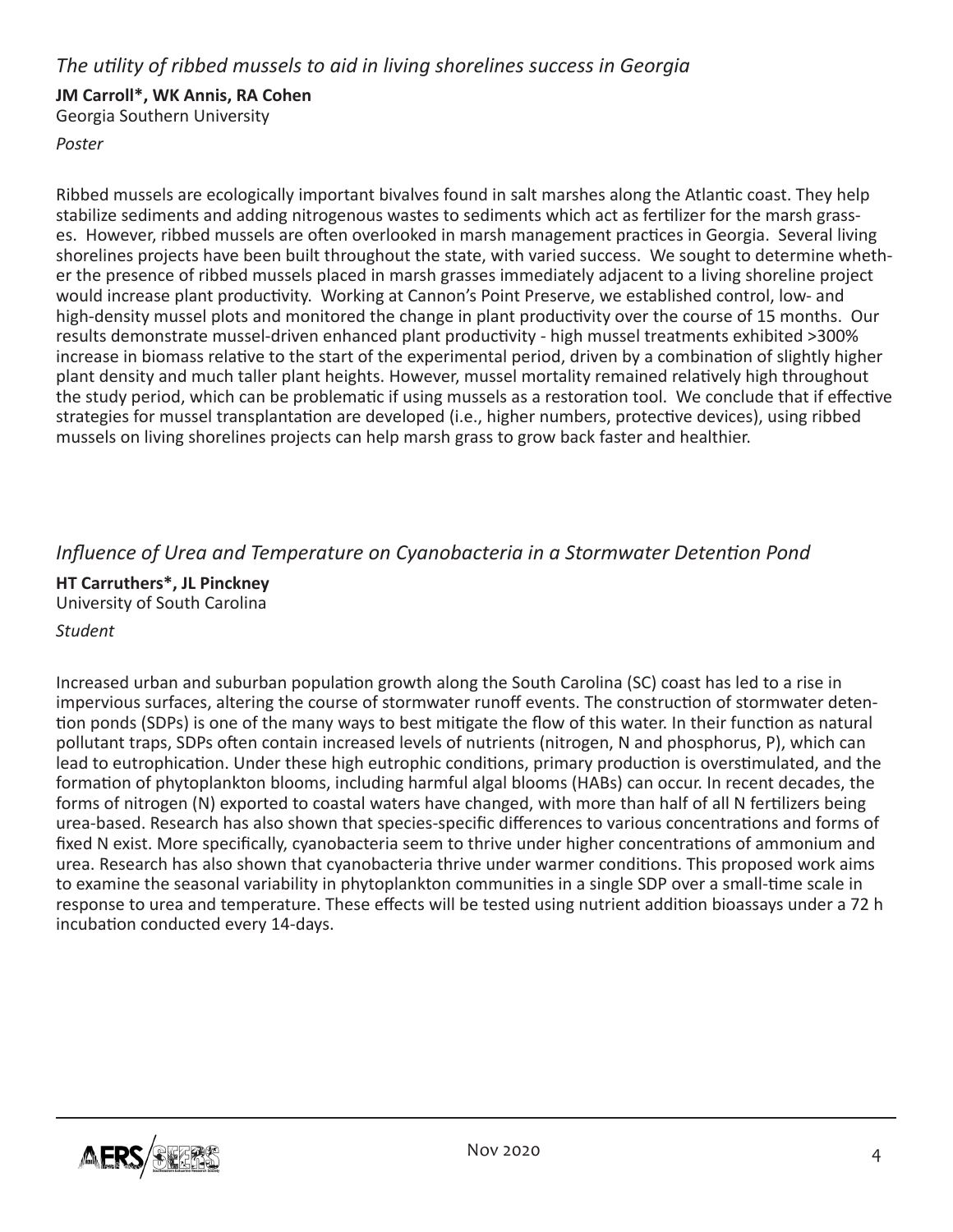## *The utility of ribbed mussels to aid in living shorelines success in Georgia*

#### **JM Carroll\*, WK Annis, RA Cohen**

Georgia Southern University

#### *Poster*

Ribbed mussels are ecologically important bivalves found in salt marshes along the Atlantic coast. They help stabilize sediments and adding nitrogenous wastes to sediments which act as fertilizer for the marsh grasses. However, ribbed mussels are often overlooked in marsh management practices in Georgia. Several living shorelines projects have been built throughout the state, with varied success. We sought to determine whether the presence of ribbed mussels placed in marsh grasses immediately adjacent to a living shoreline project would increase plant productivity. Working at Cannon's Point Preserve, we established control, low- and high-density mussel plots and monitored the change in plant productivity over the course of 15 months. Our results demonstrate mussel-driven enhanced plant productivity - high mussel treatments exhibited >300% increase in biomass relative to the start of the experimental period, driven by a combination of slightly higher plant density and much taller plant heights. However, mussel mortality remained relatively high throughout the study period, which can be problematic if using mussels as a restoration tool. We conclude that if effective strategies for mussel transplantation are developed (i.e., higher numbers, protective devices), using ribbed mussels on living shorelines projects can help marsh grass to grow back faster and healthier.

## *Influence of Urea and Temperature on Cyanobacteria in a Stormwater Detention Pond*

**HT Carruthers\*, JL Pinckney** University of South Carolina

#### *Student*

Increased urban and suburban population growth along the South Carolina (SC) coast has led to a rise in impervious surfaces, altering the course of stormwater runoff events. The construction of stormwater detention ponds (SDPs) is one of the many ways to best mitigate the flow of this water. In their function as natural pollutant traps, SDPs often contain increased levels of nutrients (nitrogen, N and phosphorus, P), which can lead to eutrophication. Under these high eutrophic conditions, primary production is overstimulated, and the formation of phytoplankton blooms, including harmful algal blooms (HABs) can occur. In recent decades, the forms of nitrogen (N) exported to coastal waters have changed, with more than half of all N fertilizers being urea-based. Research has also shown that species-specific differences to various concentrations and forms of fixed N exist. More specifically, cyanobacteria seem to thrive under higher concentrations of ammonium and urea. Research has also shown that cyanobacteria thrive under warmer conditions. This proposed work aims to examine the seasonal variability in phytoplankton communities in a single SDP over a small-time scale in response to urea and temperature. These effects will be tested using nutrient addition bioassays under a 72 h incubation conducted every 14-days.

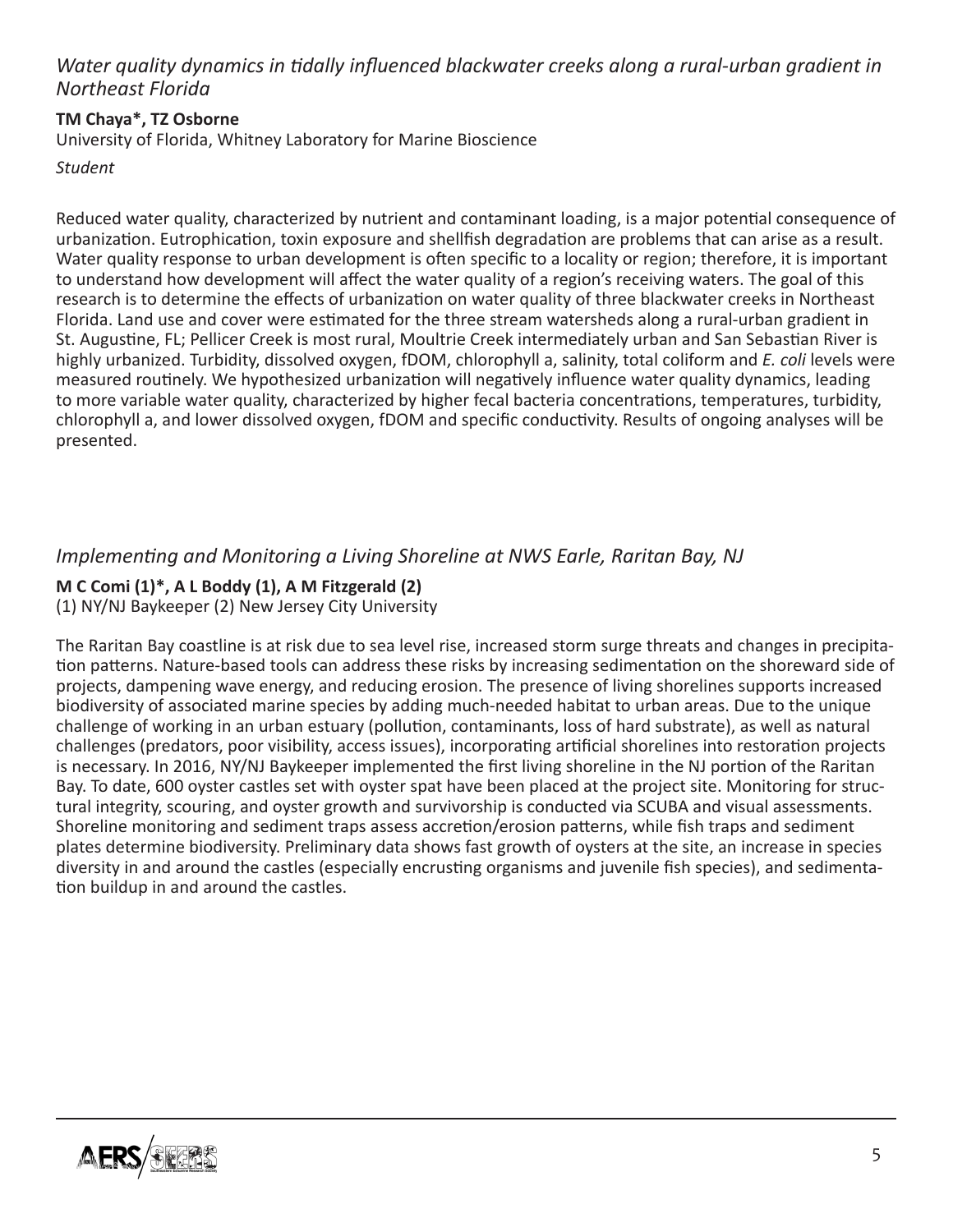## *Water quality dynamics in tidally influenced blackwater creeks along a rural-urban gradient in Northeast Florida*

#### **TM Chaya\*, TZ Osborne**

University of Florida, Whitney Laboratory for Marine Bioscience

*Student*

Reduced water quality, characterized by nutrient and contaminant loading, is a major potential consequence of urbanization. Eutrophication, toxin exposure and shellfish degradation are problems that can arise as a result. Water quality response to urban development is often specific to a locality or region; therefore, it is important to understand how development will affect the water quality of a region's receiving waters. The goal of this research is to determine the effects of urbanization on water quality of three blackwater creeks in Northeast Florida. Land use and cover were estimated for the three stream watersheds along a rural-urban gradient in St. Augustine, FL; Pellicer Creek is most rural, Moultrie Creek intermediately urban and San Sebastian River is highly urbanized. Turbidity, dissolved oxygen, fDOM, chlorophyll a, salinity, total coliform and *E. coli* levels were measured routinely. We hypothesized urbanization will negatively influence water quality dynamics, leading to more variable water quality, characterized by higher fecal bacteria concentrations, temperatures, turbidity, chlorophyll a, and lower dissolved oxygen, fDOM and specific conductivity. Results of ongoing analyses will be presented.

## *Implementing and Monitoring a Living Shoreline at NWS Earle, Raritan Bay, NJ*

## **M C Comi (1)\*, A L Boddy (1), A M Fitzgerald (2)**

(1) NY/NJ Baykeeper (2) New Jersey City University

The Raritan Bay coastline is at risk due to sea level rise, increased storm surge threats and changes in precipitation patterns. Nature-based tools can address these risks by increasing sedimentation on the shoreward side of projects, dampening wave energy, and reducing erosion. The presence of living shorelines supports increased biodiversity of associated marine species by adding much-needed habitat to urban areas. Due to the unique challenge of working in an urban estuary (pollution, contaminants, loss of hard substrate), as well as natural challenges (predators, poor visibility, access issues), incorporating artificial shorelines into restoration projects is necessary. In 2016, NY/NJ Baykeeper implemented the first living shoreline in the NJ portion of the Raritan Bay. To date, 600 oyster castles set with oyster spat have been placed at the project site. Monitoring for structural integrity, scouring, and oyster growth and survivorship is conducted via SCUBA and visual assessments. Shoreline monitoring and sediment traps assess accretion/erosion patterns, while fish traps and sediment plates determine biodiversity. Preliminary data shows fast growth of oysters at the site, an increase in species diversity in and around the castles (especially encrusting organisms and juvenile fish species), and sedimentation buildup in and around the castles.

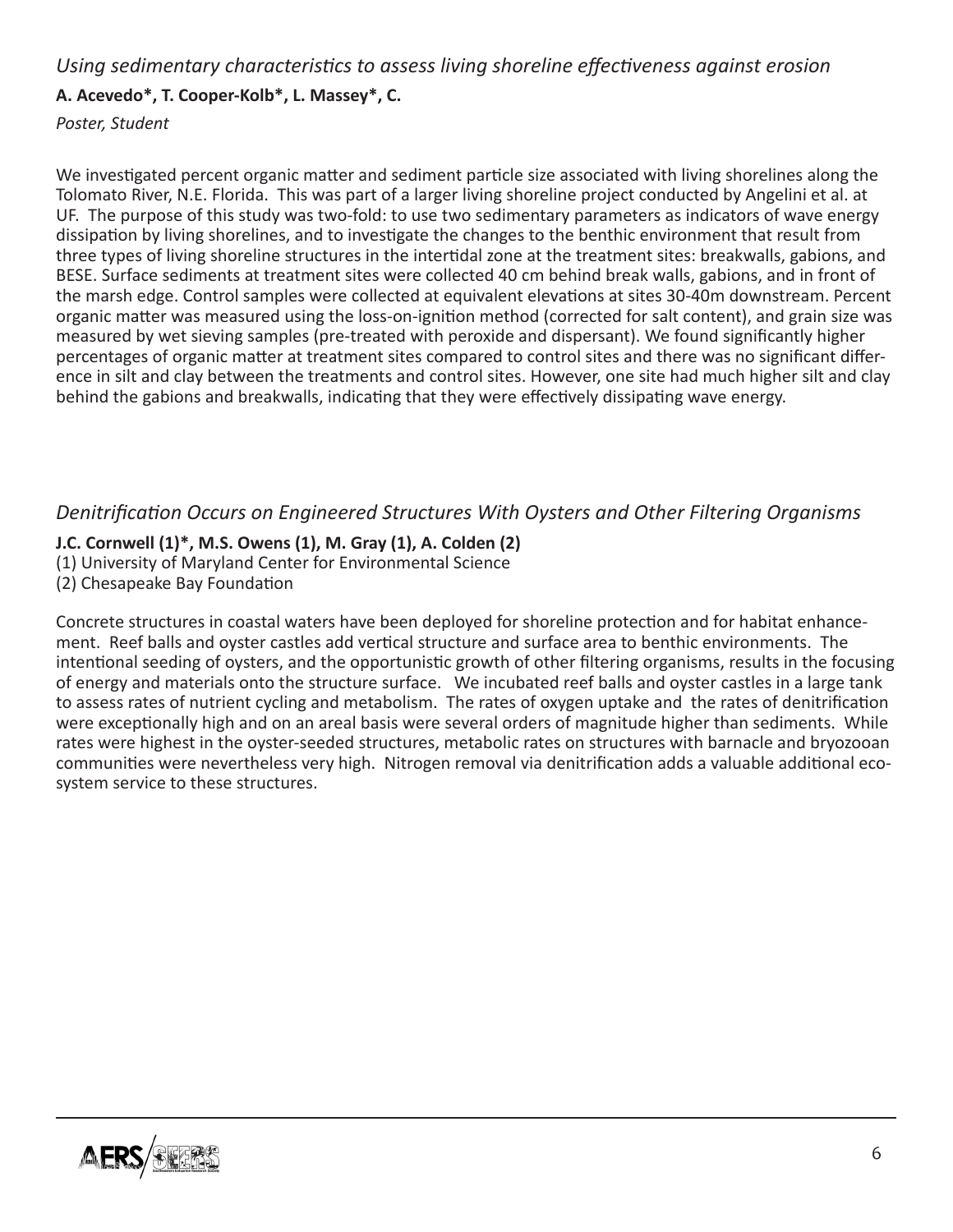#### *Using sedimentary characteristics to assess living shoreline effectiveness against erosion*

#### **A. Acevedo\*, T. Cooper-Kolb\*, L. Massey\*, C.**

*Poster, Student*

We investigated percent organic matter and sediment particle size associated with living shorelines along the Tolomato River, N.E. Florida. This was part of a larger living shoreline project conducted by Angelini et al. at UF. The purpose of this study was two-fold: to use two sedimentary parameters as indicators of wave energy dissipation by living shorelines, and to investigate the changes to the benthic environment that result from three types of living shoreline structures in the intertidal zone at the treatment sites: breakwalls, gabions, and BESE. Surface sediments at treatment sites were collected 40 cm behind break walls, gabions, and in front of the marsh edge. Control samples were collected at equivalent elevations at sites 30-40m downstream. Percent organic matter was measured using the loss-on-ignition method (corrected for salt content), and grain size was measured by wet sieving samples (pre-treated with peroxide and dispersant). We found significantly higher percentages of organic matter at treatment sites compared to control sites and there was no significant difference in silt and clay between the treatments and control sites. However, one site had much higher silt and clay behind the gabions and breakwalls, indicating that they were effectively dissipating wave energy.

## *Denitrification Occurs on Engineered Structures With Oysters and Other Filtering Organisms*

## **J.C. Cornwell (1)\*, M.S. Owens (1), M. Gray (1), A. Colden (2)**

- (1) University of Maryland Center for Environmental Science
- (2) Chesapeake Bay Foundation

Concrete structures in coastal waters have been deployed for shoreline protection and for habitat enhancement. Reef balls and oyster castles add vertical structure and surface area to benthic environments. The intentional seeding of oysters, and the opportunistic growth of other filtering organisms, results in the focusing of energy and materials onto the structure surface. We incubated reef balls and oyster castles in a large tank to assess rates of nutrient cycling and metabolism. The rates of oxygen uptake and the rates of denitrification were exceptionally high and on an areal basis were several orders of magnitude higher than sediments. While rates were highest in the oyster-seeded structures, metabolic rates on structures with barnacle and bryozooan communities were nevertheless very high. Nitrogen removal via denitrification adds a valuable additional ecosystem service to these structures.

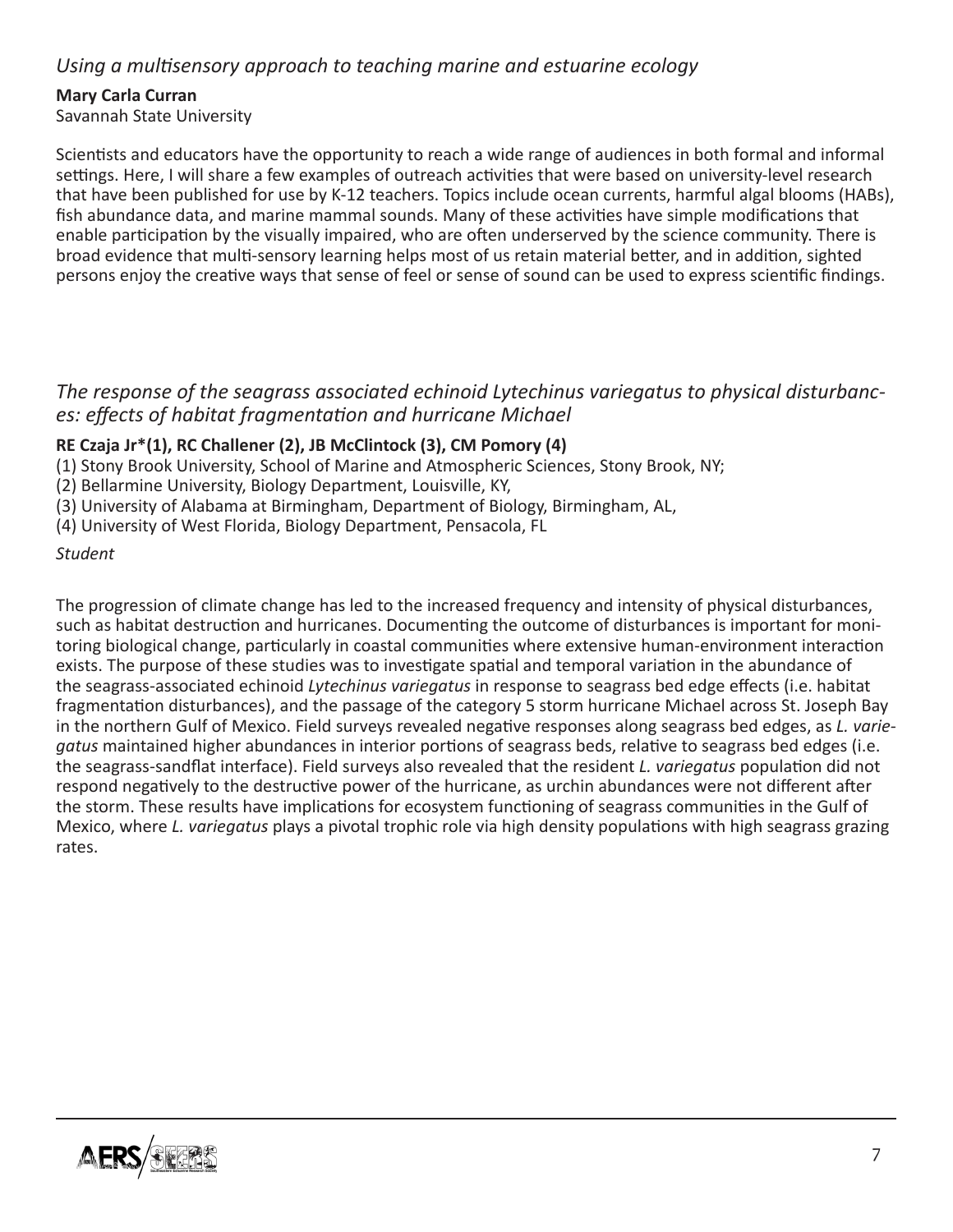## *Using a multisensory approach to teaching marine and estuarine ecology*

#### **Mary Carla Curran**

Savannah State University

Scientists and educators have the opportunity to reach a wide range of audiences in both formal and informal settings. Here, I will share a few examples of outreach activities that were based on university-level research that have been published for use by K-12 teachers. Topics include ocean currents, harmful algal blooms (HABs), fish abundance data, and marine mammal sounds. Many of these activities have simple modifications that enable participation by the visually impaired, who are often underserved by the science community. There is broad evidence that multi-sensory learning helps most of us retain material better, and in addition, sighted persons enjoy the creative ways that sense of feel or sense of sound can be used to express scientific findings.

#### *The response of the seagrass associated echinoid Lytechinus variegatus to physical disturbances: effects of habitat fragmentation and hurricane Michael*

#### **RE Czaja Jr\*(1), RC Challener (2), JB McClintock (3), CM Pomory (4)**

- (1) Stony Brook University, School of Marine and Atmospheric Sciences, Stony Brook, NY;
- (2) Bellarmine University, Biology Department, Louisville, KY,
- (3) University of Alabama at Birmingham, Department of Biology, Birmingham, AL,
- (4) University of West Florida, Biology Department, Pensacola, FL

#### *Student*

The progression of climate change has led to the increased frequency and intensity of physical disturbances, such as habitat destruction and hurricanes. Documenting the outcome of disturbances is important for monitoring biological change, particularly in coastal communities where extensive human-environment interaction exists. The purpose of these studies was to investigate spatial and temporal variation in the abundance of the seagrass-associated echinoid *Lytechinus variegatus* in response to seagrass bed edge effects (i.e. habitat fragmentation disturbances), and the passage of the category 5 storm hurricane Michael across St. Joseph Bay in the northern Gulf of Mexico. Field surveys revealed negative responses along seagrass bed edges, as *L. variegatus* maintained higher abundances in interior portions of seagrass beds, relative to seagrass bed edges (i.e. the seagrass-sandflat interface). Field surveys also revealed that the resident *L. variegatus* population did not respond negatively to the destructive power of the hurricane, as urchin abundances were not different after the storm. These results have implications for ecosystem functioning of seagrass communities in the Gulf of Mexico, where *L. variegatus* plays a pivotal trophic role via high density populations with high seagrass grazing rates.

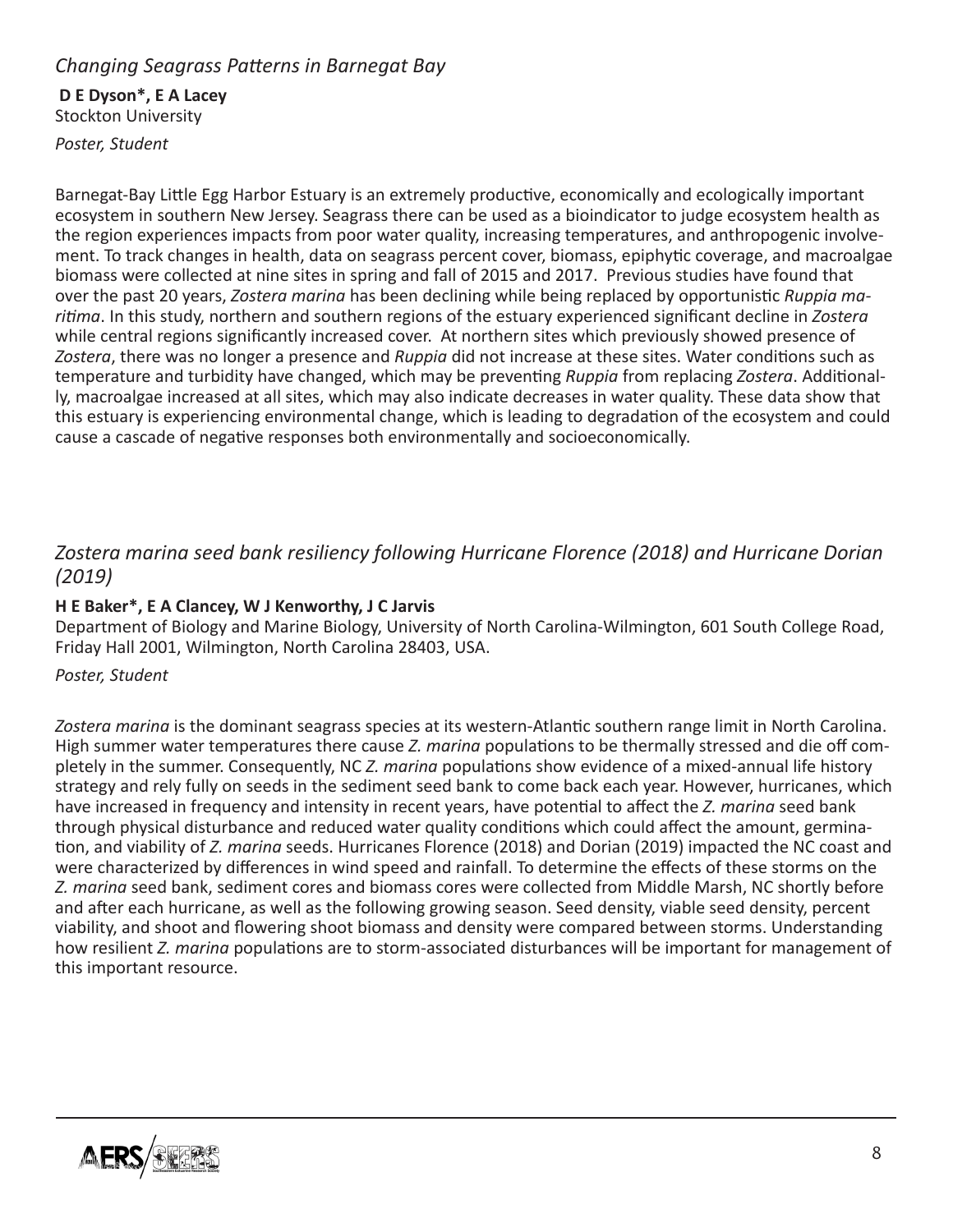## *Changing Seagrass Patterns in Barnegat Bay*

## **D E Dyson\*, E A Lacey**

Stockton University

*Poster, Student*

Barnegat-Bay Little Egg Harbor Estuary is an extremely productive, economically and ecologically important ecosystem in southern New Jersey. Seagrass there can be used as a bioindicator to judge ecosystem health as the region experiences impacts from poor water quality, increasing temperatures, and anthropogenic involvement. To track changes in health, data on seagrass percent cover, biomass, epiphytic coverage, and macroalgae biomass were collected at nine sites in spring and fall of 2015 and 2017. Previous studies have found that over the past 20 years, *Zostera marina* has been declining while being replaced by opportunistic *Ruppia maritima*. In this study, northern and southern regions of the estuary experienced significant decline in *Zostera* while central regions significantly increased cover. At northern sites which previously showed presence of *Zostera*, there was no longer a presence and *Ruppia* did not increase at these sites. Water conditions such as temperature and turbidity have changed, which may be preventing *Ruppia* from replacing *Zostera*. Additionally, macroalgae increased at all sites, which may also indicate decreases in water quality. These data show that this estuary is experiencing environmental change, which is leading to degradation of the ecosystem and could cause a cascade of negative responses both environmentally and socioeconomically.

## *Zostera marina seed bank resiliency following Hurricane Florence (2018) and Hurricane Dorian (2019)*

#### **H E Baker\*, E A Clancey, W J Kenworthy, J C Jarvis**

Department of Biology and Marine Biology, University of North Carolina-Wilmington, 601 South College Road, Friday Hall 2001, Wilmington, North Carolina 28403, USA.

#### *Poster, Student*

*Zostera marina* is the dominant seagrass species at its western-Atlantic southern range limit in North Carolina. High summer water temperatures there cause *Z. marina* populations to be thermally stressed and die off completely in the summer. Consequently, NC *Z. marina* populations show evidence of a mixed-annual life history strategy and rely fully on seeds in the sediment seed bank to come back each year. However, hurricanes, which have increased in frequency and intensity in recent years, have potential to affect the *Z. marina* seed bank through physical disturbance and reduced water quality conditions which could affect the amount, germination, and viability of *Z. marina* seeds. Hurricanes Florence (2018) and Dorian (2019) impacted the NC coast and were characterized by differences in wind speed and rainfall. To determine the effects of these storms on the *Z. marina* seed bank, sediment cores and biomass cores were collected from Middle Marsh, NC shortly before and after each hurricane, as well as the following growing season. Seed density, viable seed density, percent viability, and shoot and flowering shoot biomass and density were compared between storms. Understanding how resilient *Z. marina* populations are to storm-associated disturbances will be important for management of this important resource.

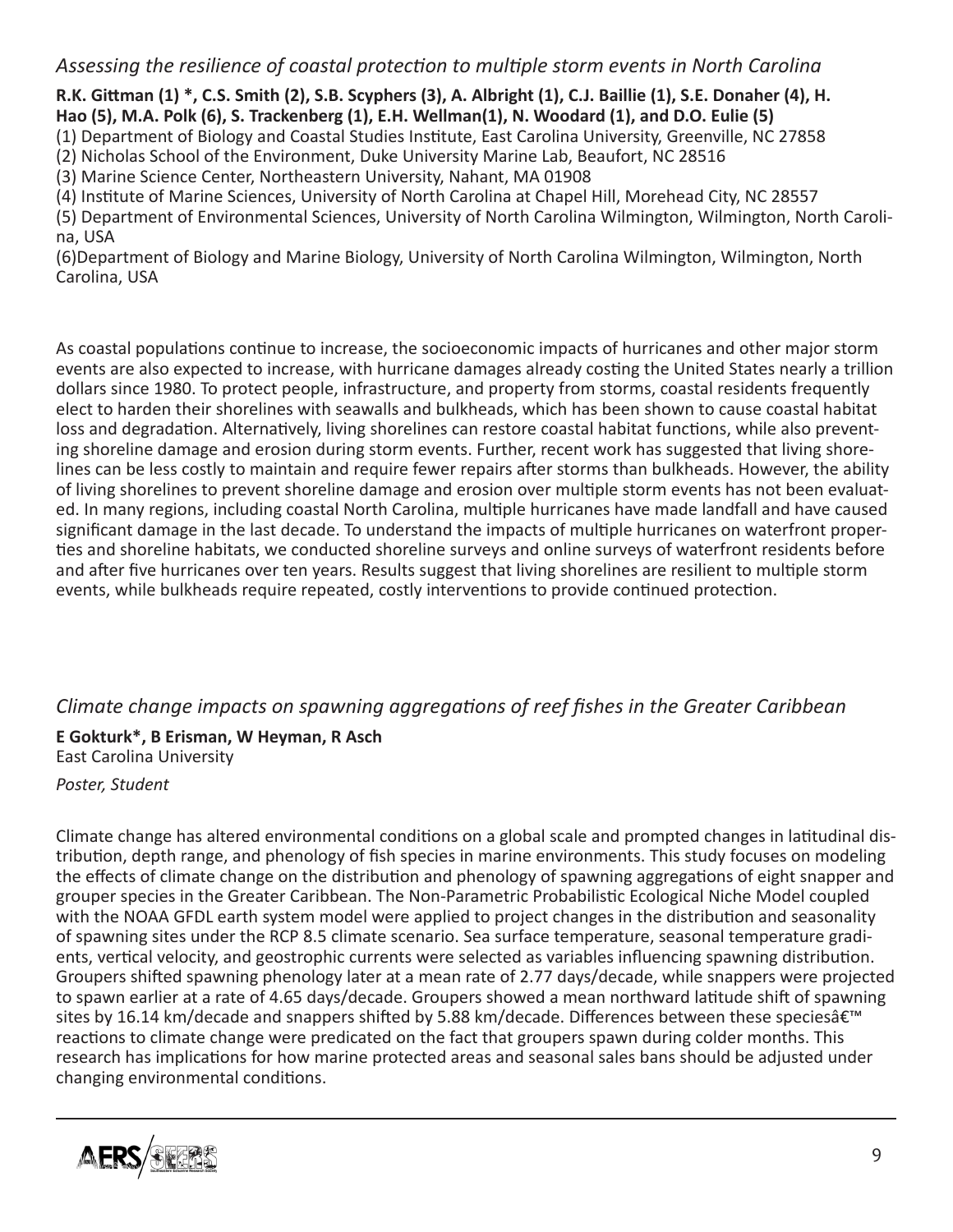## *Assessing the resilience of coastal protection to multiple storm events in North Carolina*

**R.K. Gittman (1) \*, C.S. Smith (2), S.B. Scyphers (3), A. Albright (1), C.J. Baillie (1), S.E. Donaher (4), H.**

**Hao (5), M.A. Polk (6), S. Trackenberg (1), E.H. Wellman(1), N. Woodard (1), and D.O. Eulie (5)**

(1) Department of Biology and Coastal Studies Institute, East Carolina University, Greenville, NC 27858

(2) Nicholas School of the Environment, Duke University Marine Lab, Beaufort, NC 28516

(3) Marine Science Center, Northeastern University, Nahant, MA 01908

(4) Institute of Marine Sciences, University of North Carolina at Chapel Hill, Morehead City, NC 28557

(5) Department of Environmental Sciences, University of North Carolina Wilmington, Wilmington, North Carolina, USA

(6)Department of Biology and Marine Biology, University of North Carolina Wilmington, Wilmington, North Carolina, USA

As coastal populations continue to increase, the socioeconomic impacts of hurricanes and other major storm events are also expected to increase, with hurricane damages already costing the United States nearly a trillion dollars since 1980. To protect people, infrastructure, and property from storms, coastal residents frequently elect to harden their shorelines with seawalls and bulkheads, which has been shown to cause coastal habitat loss and degradation. Alternatively, living shorelines can restore coastal habitat functions, while also preventing shoreline damage and erosion during storm events. Further, recent work has suggested that living shorelines can be less costly to maintain and require fewer repairs after storms than bulkheads. However, the ability of living shorelines to prevent shoreline damage and erosion over multiple storm events has not been evaluated. In many regions, including coastal North Carolina, multiple hurricanes have made landfall and have caused significant damage in the last decade. To understand the impacts of multiple hurricanes on waterfront properties and shoreline habitats, we conducted shoreline surveys and online surveys of waterfront residents before and after five hurricanes over ten years. Results suggest that living shorelines are resilient to multiple storm events, while bulkheads require repeated, costly interventions to provide continued protection.

## *Climate change impacts on spawning aggregations of reef fishes in the Greater Caribbean*

**E Gokturk\*, B Erisman, W Heyman, R Asch** East Carolina University

#### *Poster, Student*

Climate change has altered environmental conditions on a global scale and prompted changes in latitudinal distribution, depth range, and phenology of fish species in marine environments. This study focuses on modeling the effects of climate change on the distribution and phenology of spawning aggregations of eight snapper and grouper species in the Greater Caribbean. The Non-Parametric Probabilistic Ecological Niche Model coupled with the NOAA GFDL earth system model were applied to project changes in the distribution and seasonality of spawning sites under the RCP 8.5 climate scenario. Sea surface temperature, seasonal temperature gradients, vertical velocity, and geostrophic currents were selected as variables influencing spawning distribution. Groupers shifted spawning phenology later at a mean rate of 2.77 days/decade, while snappers were projected to spawn earlier at a rate of 4.65 days/decade. Groupers showed a mean northward latitude shift of spawning sites by 16.14 km/decade and snappers shifted by 5.88 km/decade. Differences between these speciesâ€<sup>™</sup> reactions to climate change were predicated on the fact that groupers spawn during colder months. This research has implications for how marine protected areas and seasonal sales bans should be adjusted under changing environmental conditions.

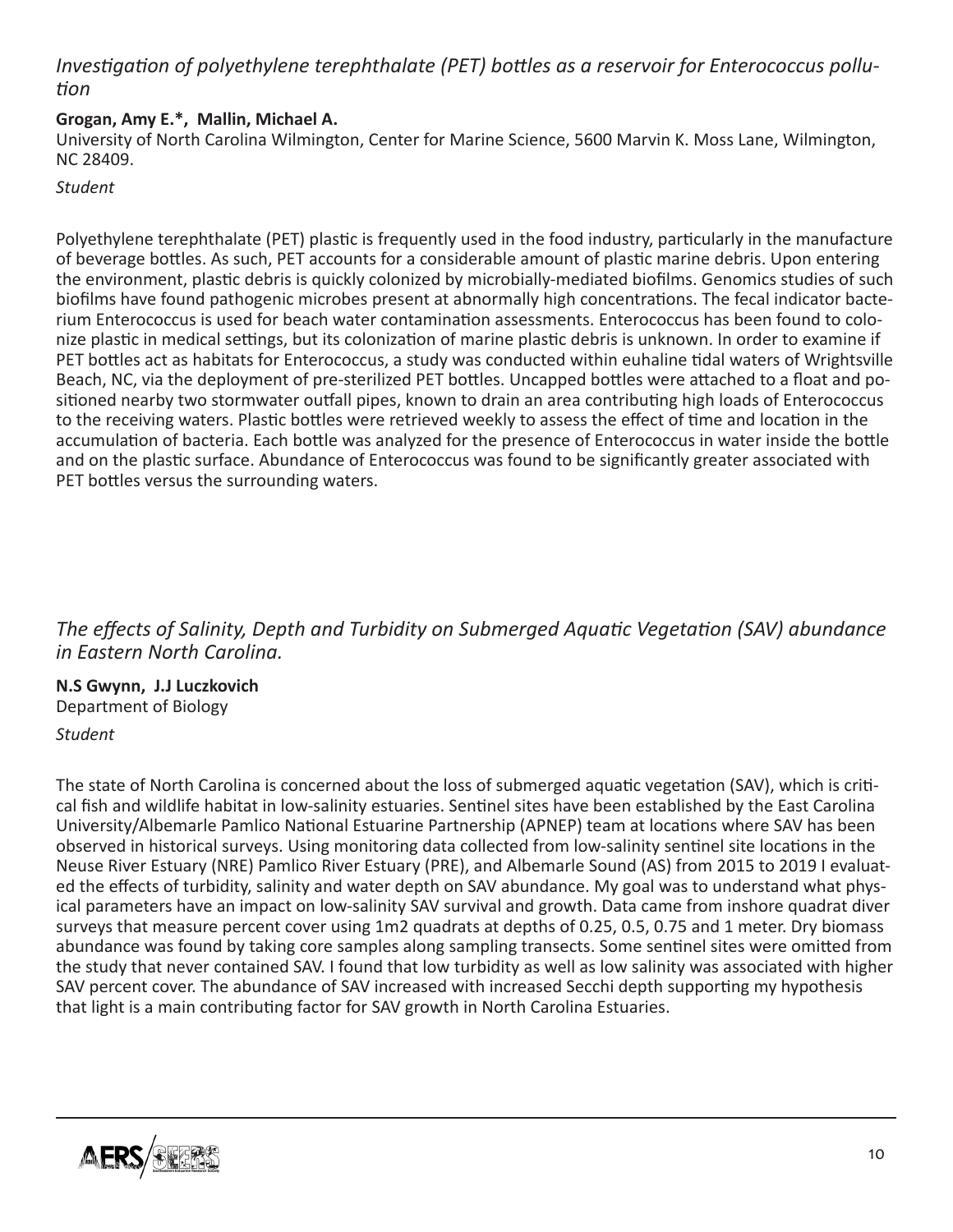# *Investigation of polyethylene terephthalate (PET) bottles as a reservoir for Enterococcus pollution*

#### **Grogan, Amy E.\*, Mallin, Michael A.**

University of North Carolina Wilmington, Center for Marine Science, 5600 Marvin K. Moss Lane, Wilmington, NC 28409.

*Student*

Polyethylene terephthalate (PET) plastic is frequently used in the food industry, particularly in the manufacture of beverage bottles. As such, PET accounts for a considerable amount of plastic marine debris. Upon entering the environment, plastic debris is quickly colonized by microbially-mediated biofilms. Genomics studies of such biofilms have found pathogenic microbes present at abnormally high concentrations. The fecal indicator bacterium Enterococcus is used for beach water contamination assessments. Enterococcus has been found to colonize plastic in medical settings, but its colonization of marine plastic debris is unknown. In order to examine if PET bottles act as habitats for Enterococcus, a study was conducted within euhaline tidal waters of Wrightsville Beach, NC, via the deployment of pre-sterilized PET bottles. Uncapped bottles were attached to a float and positioned nearby two stormwater outfall pipes, known to drain an area contributing high loads of Enterococcus to the receiving waters. Plastic bottles were retrieved weekly to assess the effect of time and location in the accumulation of bacteria. Each bottle was analyzed for the presence of Enterococcus in water inside the bottle and on the plastic surface. Abundance of Enterococcus was found to be significantly greater associated with PET bottles versus the surrounding waters.

*The effects of Salinity, Depth and Turbidity on Submerged Aquatic Vegetation (SAV) abundance in Eastern North Carolina.*

**N.S Gwynn, J.J Luczkovich** Department of Biology

*Student*

The state of North Carolina is concerned about the loss of submerged aquatic vegetation (SAV), which is critical fish and wildlife habitat in low-salinity estuaries. Sentinel sites have been established by the East Carolina University/Albemarle Pamlico National Estuarine Partnership (APNEP) team at locations where SAV has been observed in historical surveys. Using monitoring data collected from low-salinity sentinel site locations in the Neuse River Estuary (NRE) Pamlico River Estuary (PRE), and Albemarle Sound (AS) from 2015 to 2019 I evaluated the effects of turbidity, salinity and water depth on SAV abundance. My goal was to understand what physical parameters have an impact on low-salinity SAV survival and growth. Data came from inshore quadrat diver surveys that measure percent cover using 1m2 quadrats at depths of 0.25, 0.5, 0.75 and 1 meter. Dry biomass abundance was found by taking core samples along sampling transects. Some sentinel sites were omitted from the study that never contained SAV. I found that low turbidity as well as low salinity was associated with higher SAV percent cover. The abundance of SAV increased with increased Secchi depth supporting my hypothesis that light is a main contributing factor for SAV growth in North Carolina Estuaries.

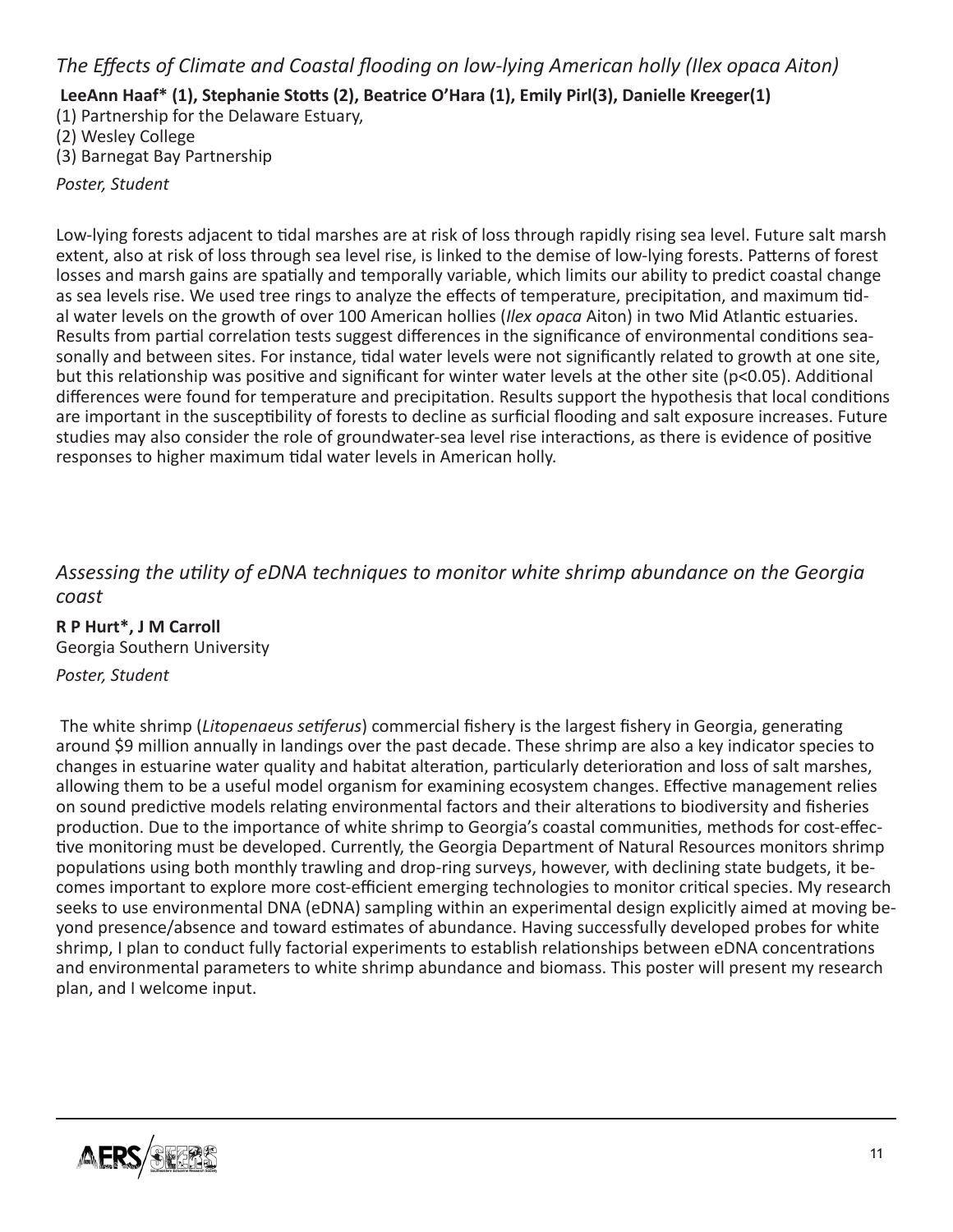## *The Effects of Climate and Coastal flooding on low-lying American holly (Ilex opaca Aiton)*

 **LeeAnn Haaf\* (1), Stephanie Stotts (2), Beatrice O'Hara (1), Emily Pirl(3), Danielle Kreeger(1)**

(1) Partnership for the Delaware Estuary,

(2) Wesley College

(3) Barnegat Bay Partnership

*Poster, Student*

Low-lying forests adjacent to tidal marshes are at risk of loss through rapidly rising sea level. Future salt marsh extent, also at risk of loss through sea level rise, is linked to the demise of low-lying forests. Patterns of forest losses and marsh gains are spatially and temporally variable, which limits our ability to predict coastal change as sea levels rise. We used tree rings to analyze the effects of temperature, precipitation, and maximum tidal water levels on the growth of over 100 American hollies (*Ilex opaca* Aiton) in two Mid Atlantic estuaries. Results from partial correlation tests suggest differences in the significance of environmental conditions seasonally and between sites. For instance, tidal water levels were not significantly related to growth at one site, but this relationship was positive and significant for winter water levels at the other site (p<0.05). Additional differences were found for temperature and precipitation. Results support the hypothesis that local conditions are important in the susceptibility of forests to decline as surficial flooding and salt exposure increases. Future studies may also consider the role of groundwater-sea level rise interactions, as there is evidence of positive responses to higher maximum tidal water levels in American holly.

*Assessing the utility of eDNA techniques to monitor white shrimp abundance on the Georgia coast*

**R P Hurt\*, J M Carroll** Georgia Southern University

*Poster, Student*

The white shrimp (*Litopenaeus setiferus*) commercial fishery is the largest fishery in Georgia, generating around \$9 million annually in landings over the past decade. These shrimp are also a key indicator species to changes in estuarine water quality and habitat alteration, particularly deterioration and loss of salt marshes, allowing them to be a useful model organism for examining ecosystem changes. Effective management relies on sound predictive models relating environmental factors and their alterations to biodiversity and fisheries production. Due to the importance of white shrimp to Georgia's coastal communities, methods for cost-effective monitoring must be developed. Currently, the Georgia Department of Natural Resources monitors shrimp populations using both monthly trawling and drop-ring surveys, however, with declining state budgets, it becomes important to explore more cost-efficient emerging technologies to monitor critical species. My research seeks to use environmental DNA (eDNA) sampling within an experimental design explicitly aimed at moving beyond presence/absence and toward estimates of abundance. Having successfully developed probes for white shrimp, I plan to conduct fully factorial experiments to establish relationships between eDNA concentrations and environmental parameters to white shrimp abundance and biomass. This poster will present my research plan, and I welcome input.

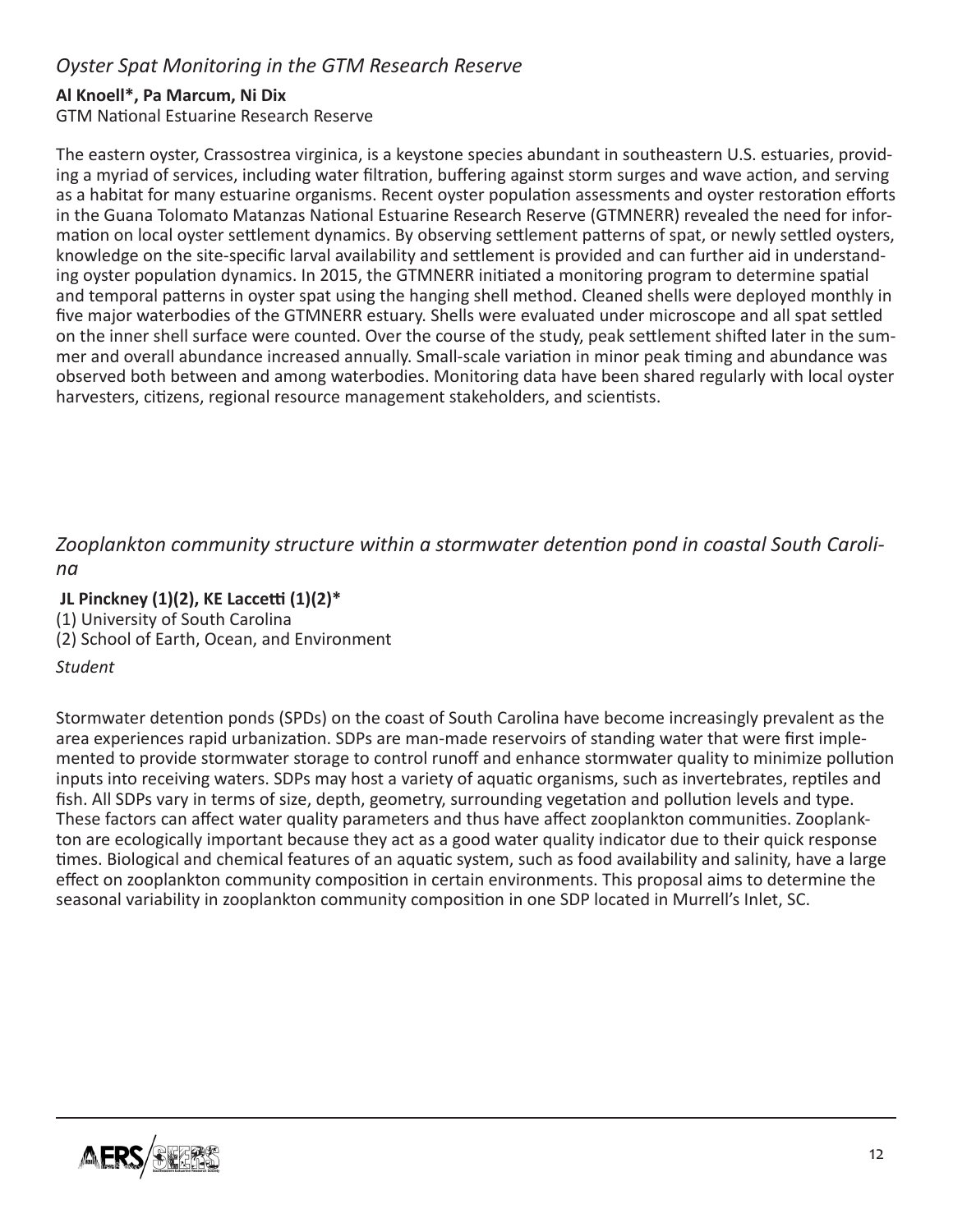## *Oyster Spat Monitoring in the GTM Research Reserve*

#### **Al Knoell\*, Pa Marcum, Ni Dix**

GTM National Estuarine Research Reserve

The eastern oyster, Crassostrea virginica, is a keystone species abundant in southeastern U.S. estuaries, providing a myriad of services, including water filtration, buffering against storm surges and wave action, and serving as a habitat for many estuarine organisms. Recent oyster population assessments and oyster restoration efforts in the Guana Tolomato Matanzas National Estuarine Research Reserve (GTMNERR) revealed the need for information on local oyster settlement dynamics. By observing settlement patterns of spat, or newly settled oysters, knowledge on the site-specific larval availability and settlement is provided and can further aid in understanding oyster population dynamics. In 2015, the GTMNERR initiated a monitoring program to determine spatial and temporal patterns in oyster spat using the hanging shell method. Cleaned shells were deployed monthly in five major waterbodies of the GTMNERR estuary. Shells were evaluated under microscope and all spat settled on the inner shell surface were counted. Over the course of the study, peak settlement shifted later in the summer and overall abundance increased annually. Small-scale variation in minor peak timing and abundance was observed both between and among waterbodies. Monitoring data have been shared regularly with local oyster harvesters, citizens, regional resource management stakeholders, and scientists.

## *Zooplankton community structure within a stormwater detention pond in coastal South Carolina*

 **JL Pinckney (1)(2), KE Laccetti (1)(2)\*** 

(1) University of South Carolina

(2) School of Earth, Ocean, and Environment

*Student*

Stormwater detention ponds (SPDs) on the coast of South Carolina have become increasingly prevalent as the area experiences rapid urbanization. SDPs are man-made reservoirs of standing water that were first implemented to provide stormwater storage to control runoff and enhance stormwater quality to minimize pollution inputs into receiving waters. SDPs may host a variety of aquatic organisms, such as invertebrates, reptiles and fish. All SDPs vary in terms of size, depth, geometry, surrounding vegetation and pollution levels and type. These factors can affect water quality parameters and thus have affect zooplankton communities. Zooplankton are ecologically important because they act as a good water quality indicator due to their quick response times. Biological and chemical features of an aquatic system, such as food availability and salinity, have a large effect on zooplankton community composition in certain environments. This proposal aims to determine the seasonal variability in zooplankton community composition in one SDP located in Murrell's Inlet, SC.

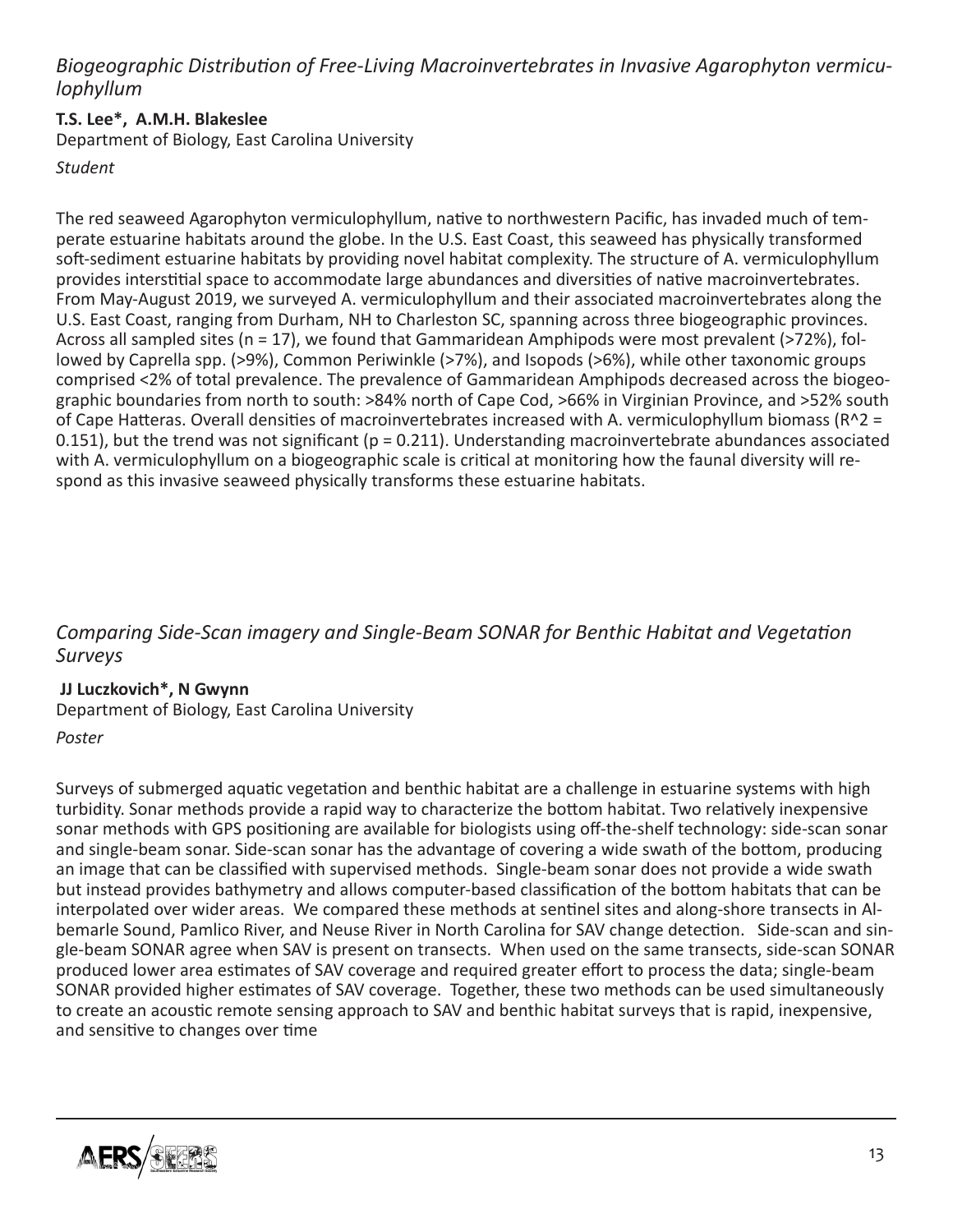# *Biogeographic Distribution of Free-Living Macroinvertebrates in Invasive Agarophyton vermiculophyllum*

#### **T.S. Lee\*, A.M.H. Blakeslee**

Department of Biology, East Carolina University

*Student*

The red seaweed Agarophyton vermiculophyllum, native to northwestern Pacific, has invaded much of temperate estuarine habitats around the globe. In the U.S. East Coast, this seaweed has physically transformed soft-sediment estuarine habitats by providing novel habitat complexity. The structure of A. vermiculophyllum provides interstitial space to accommodate large abundances and diversities of native macroinvertebrates. From May-August 2019, we surveyed A. vermiculophyllum and their associated macroinvertebrates along the U.S. East Coast, ranging from Durham, NH to Charleston SC, spanning across three biogeographic provinces. Across all sampled sites (n = 17), we found that Gammaridean Amphipods were most prevalent (>72%), followed by Caprella spp. (>9%), Common Periwinkle (>7%), and Isopods (>6%), while other taxonomic groups comprised <2% of total prevalence. The prevalence of Gammaridean Amphipods decreased across the biogeographic boundaries from north to south: >84% north of Cape Cod, >66% in Virginian Province, and >52% south of Cape Hatteras. Overall densities of macroinvertebrates increased with A. vermiculophyllum biomass (R^2 = 0.151), but the trend was not significant ( $p = 0.211$ ). Understanding macroinvertebrate abundances associated with A. vermiculophyllum on a biogeographic scale is critical at monitoring how the faunal diversity will respond as this invasive seaweed physically transforms these estuarine habitats.

## *Comparing Side-Scan imagery and Single-Beam SONAR for Benthic Habitat and Vegetation Surveys*

#### **JJ Luczkovich\*, N Gwynn**

Department of Biology, East Carolina University

#### *Poster*

Surveys of submerged aquatic vegetation and benthic habitat are a challenge in estuarine systems with high turbidity. Sonar methods provide a rapid way to characterize the bottom habitat. Two relatively inexpensive sonar methods with GPS positioning are available for biologists using off-the-shelf technology: side-scan sonar and single-beam sonar. Side-scan sonar has the advantage of covering a wide swath of the bottom, producing an image that can be classified with supervised methods. Single-beam sonar does not provide a wide swath but instead provides bathymetry and allows computer-based classification of the bottom habitats that can be interpolated over wider areas. We compared these methods at sentinel sites and along-shore transects in Albemarle Sound, Pamlico River, and Neuse River in North Carolina for SAV change detection. Side-scan and single-beam SONAR agree when SAV is present on transects. When used on the same transects, side-scan SONAR produced lower area estimates of SAV coverage and required greater effort to process the data; single-beam SONAR provided higher estimates of SAV coverage. Together, these two methods can be used simultaneously to create an acoustic remote sensing approach to SAV and benthic habitat surveys that is rapid, inexpensive, and sensitive to changes over time

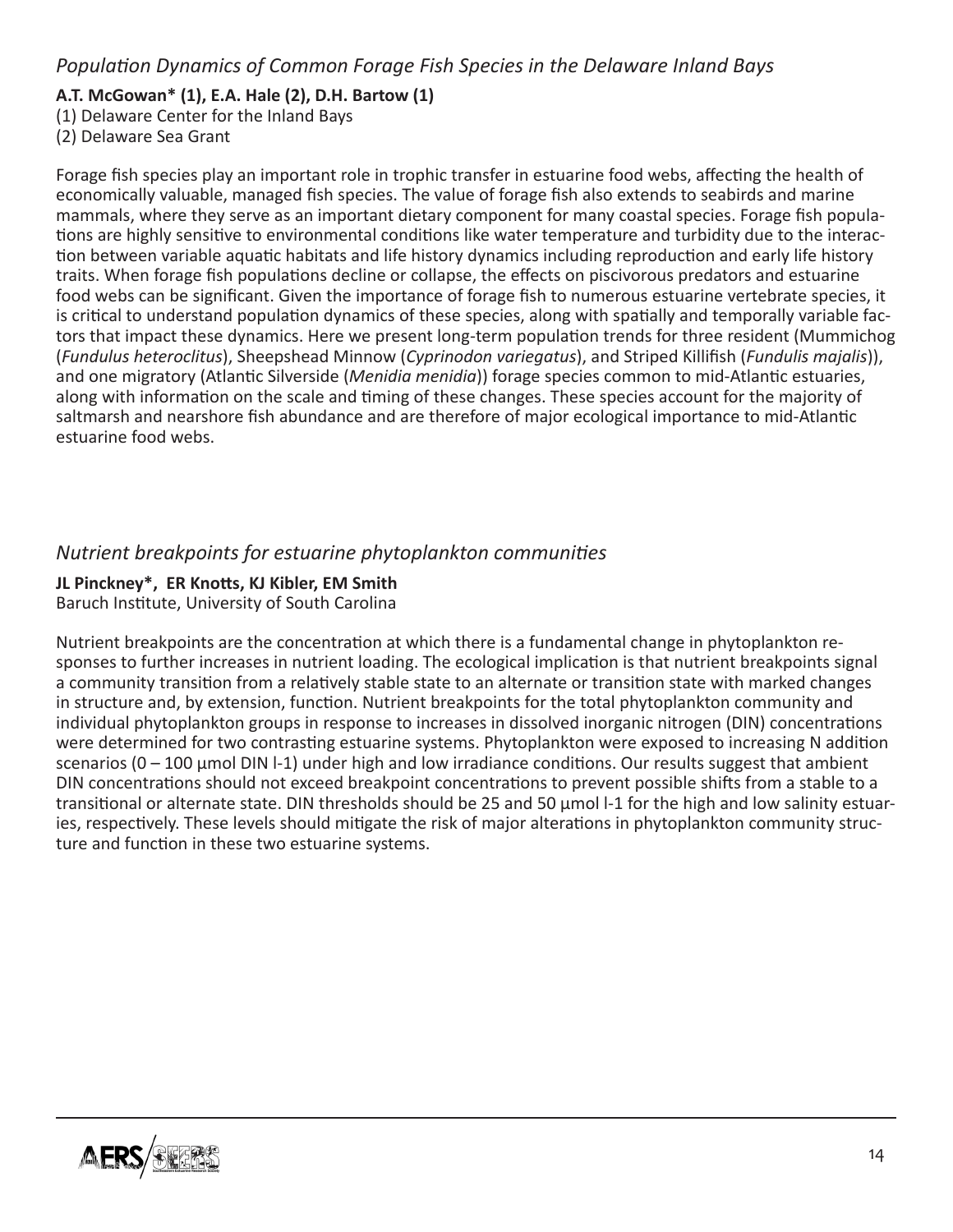## **A.T. McGowan\* (1), E.A. Hale (2), D.H. Bartow (1)**

(1) Delaware Center for the Inland Bays

(2) Delaware Sea Grant

Forage fish species play an important role in trophic transfer in estuarine food webs, affecting the health of economically valuable, managed fish species. The value of forage fish also extends to seabirds and marine mammals, where they serve as an important dietary component for many coastal species. Forage fish populations are highly sensitive to environmental conditions like water temperature and turbidity due to the interaction between variable aquatic habitats and life history dynamics including reproduction and early life history traits. When forage fish populations decline or collapse, the effects on piscivorous predators and estuarine food webs can be significant. Given the importance of forage fish to numerous estuarine vertebrate species, it is critical to understand population dynamics of these species, along with spatially and temporally variable factors that impact these dynamics. Here we present long-term population trends for three resident (Mummichog (*Fundulus heteroclitus*), Sheepshead Minnow (*Cyprinodon variegatus*), and Striped Killifish (*Fundulis majalis*)), and one migratory (Atlantic Silverside (*Menidia menidia*)) forage species common to mid-Atlantic estuaries, along with information on the scale and timing of these changes. These species account for the majority of saltmarsh and nearshore fish abundance and are therefore of major ecological importance to mid-Atlantic estuarine food webs.

## *Nutrient breakpoints for estuarine phytoplankton communities*

## **JL Pinckney\*, ER Knotts, KJ Kibler, EM Smith**

Baruch Institute, University of South Carolina

Nutrient breakpoints are the concentration at which there is a fundamental change in phytoplankton responses to further increases in nutrient loading. The ecological implication is that nutrient breakpoints signal a community transition from a relatively stable state to an alternate or transition state with marked changes in structure and, by extension, function. Nutrient breakpoints for the total phytoplankton community and individual phytoplankton groups in response to increases in dissolved inorganic nitrogen (DIN) concentrations were determined for two contrasting estuarine systems. Phytoplankton were exposed to increasing N addition scenarios (0 – 100 µmol DIN l-1) under high and low irradiance conditions. Our results suggest that ambient DIN concentrations should not exceed breakpoint concentrations to prevent possible shifts from a stable to a transitional or alternate state. DIN thresholds should be 25 and 50 µmol l-1 for the high and low salinity estuaries, respectively. These levels should mitigate the risk of major alterations in phytoplankton community structure and function in these two estuarine systems.

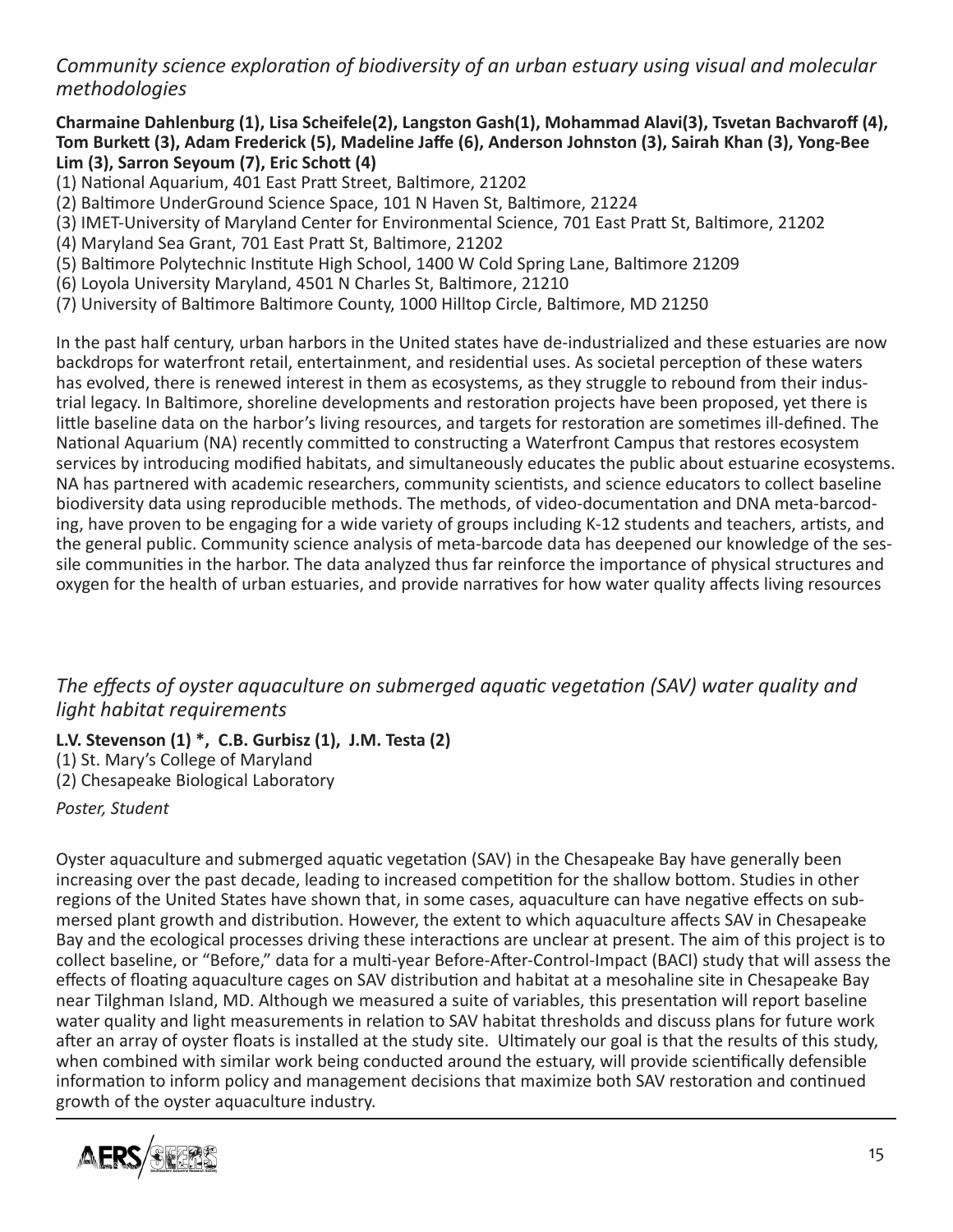*Community science exploration of biodiversity of an urban estuary using visual and molecular methodologies*

**Charmaine Dahlenburg (1), Lisa Scheifele(2), Langston Gash(1), Mohammad Alavi(3), Tsvetan Bachvaroff (4), Tom Burkett (3), Adam Frederick (5), Madeline Jaffe (6), Anderson Johnston (3), Sairah Khan (3), Yong-Bee Lim (3), Sarron Seyoum (7), Eric Schott (4)** 

(1) National Aquarium, 401 East Pratt Street, Baltimore, 21202

(2) Baltimore UnderGround Science Space, 101 N Haven St, Baltimore, 21224

(3) IMET-University of Maryland Center for Environmental Science, 701 East Pratt St, Baltimore, 21202

(4) Maryland Sea Grant, 701 East Pratt St, Baltimore, 21202

(5) Baltimore Polytechnic Institute High School, 1400 W Cold Spring Lane, Baltimore 21209

(6) Loyola University Maryland, 4501 N Charles St, Baltimore, 21210

(7) University of Baltimore Baltimore County, 1000 Hilltop Circle, Baltimore, MD 21250

In the past half century, urban harbors in the United states have de-industrialized and these estuaries are now backdrops for waterfront retail, entertainment, and residential uses. As societal perception of these waters has evolved, there is renewed interest in them as ecosystems, as they struggle to rebound from their industrial legacy. In Baltimore, shoreline developments and restoration projects have been proposed, yet there is little baseline data on the harbor's living resources, and targets for restoration are sometimes ill-defined. The National Aquarium (NA) recently committed to constructing a Waterfront Campus that restores ecosystem services by introducing modified habitats, and simultaneously educates the public about estuarine ecosystems. NA has partnered with academic researchers, community scientists, and science educators to collect baseline biodiversity data using reproducible methods. The methods, of video-documentation and DNA meta-barcoding, have proven to be engaging for a wide variety of groups including K-12 students and teachers, artists, and the general public. Community science analysis of meta-barcode data has deepened our knowledge of the sessile communities in the harbor. The data analyzed thus far reinforce the importance of physical structures and oxygen for the health of urban estuaries, and provide narratives for how water quality affects living resources

## *The effects of oyster aquaculture on submerged aquatic vegetation (SAV) water quality and light habitat requirements*

#### **L.V. Stevenson (1) \*, C.B. Gurbisz (1), J.M. Testa (2)**

(1) St. Mary's College of Maryland

(2) Chesapeake Biological Laboratory

*Poster, Student*

Oyster aquaculture and submerged aquatic vegetation (SAV) in the Chesapeake Bay have generally been increasing over the past decade, leading to increased competition for the shallow bottom. Studies in other regions of the United States have shown that, in some cases, aquaculture can have negative effects on submersed plant growth and distribution. However, the extent to which aquaculture affects SAV in Chesapeake Bay and the ecological processes driving these interactions are unclear at present. The aim of this project is to collect baseline, or "Before," data for a multi-year Before-After-Control-Impact (BACI) study that will assess the effects of floating aquaculture cages on SAV distribution and habitat at a mesohaline site in Chesapeake Bay near Tilghman Island, MD. Although we measured a suite of variables, this presentation will report baseline water quality and light measurements in relation to SAV habitat thresholds and discuss plans for future work after an array of oyster floats is installed at the study site. Ultimately our goal is that the results of this study, when combined with similar work being conducted around the estuary, will provide scientifically defensible information to inform policy and management decisions that maximize both SAV restoration and continued growth of the oyster aquaculture industry.

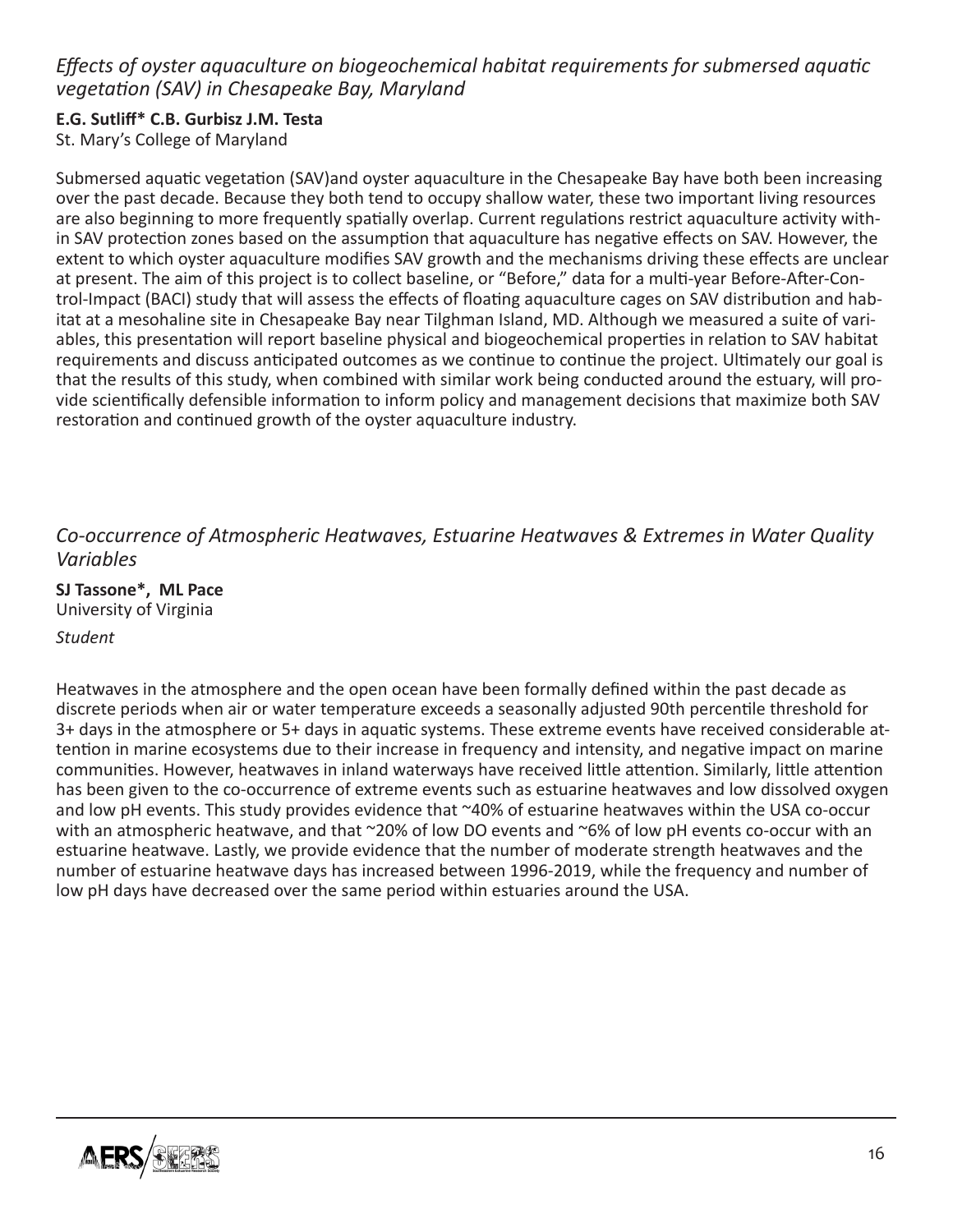# *Effects of oyster aquaculture on biogeochemical habitat requirements for submersed aquatic vegetation (SAV) in Chesapeake Bay, Maryland*

# **E.G. Sutliff\* C.B. Gurbisz J.M. Testa**

St. Mary's College of Maryland

Submersed aquatic vegetation (SAV)and oyster aquaculture in the Chesapeake Bay have both been increasing over the past decade. Because they both tend to occupy shallow water, these two important living resources are also beginning to more frequently spatially overlap. Current regulations restrict aquaculture activity within SAV protection zones based on the assumption that aquaculture has negative effects on SAV. However, the extent to which oyster aquaculture modifies SAV growth and the mechanisms driving these effects are unclear at present. The aim of this project is to collect baseline, or "Before," data for a multi-year Before-After-Control-Impact (BACI) study that will assess the effects of floating aquaculture cages on SAV distribution and habitat at a mesohaline site in Chesapeake Bay near Tilghman Island, MD. Although we measured a suite of variables, this presentation will report baseline physical and biogeochemical properties in relation to SAV habitat requirements and discuss anticipated outcomes as we continue to continue the project. Ultimately our goal is that the results of this study, when combined with similar work being conducted around the estuary, will provide scientifically defensible information to inform policy and management decisions that maximize both SAV restoration and continued growth of the oyster aquaculture industry.

## *Co-occurrence of Atmospheric Heatwaves, Estuarine Heatwaves & Extremes in Water Quality Variables*

**SJ Tassone\*, ML Pace** University of Virginia

#### *Student*

Heatwaves in the atmosphere and the open ocean have been formally defined within the past decade as discrete periods when air or water temperature exceeds a seasonally adjusted 90th percentile threshold for 3+ days in the atmosphere or 5+ days in aquatic systems. These extreme events have received considerable attention in marine ecosystems due to their increase in frequency and intensity, and negative impact on marine communities. However, heatwaves in inland waterways have received little attention. Similarly, little attention has been given to the co-occurrence of extreme events such as estuarine heatwaves and low dissolved oxygen and low pH events. This study provides evidence that ~40% of estuarine heatwaves within the USA co-occur with an atmospheric heatwave, and that ~20% of low DO events and ~6% of low pH events co-occur with an estuarine heatwave. Lastly, we provide evidence that the number of moderate strength heatwaves and the number of estuarine heatwave days has increased between 1996-2019, while the frequency and number of low pH days have decreased over the same period within estuaries around the USA.

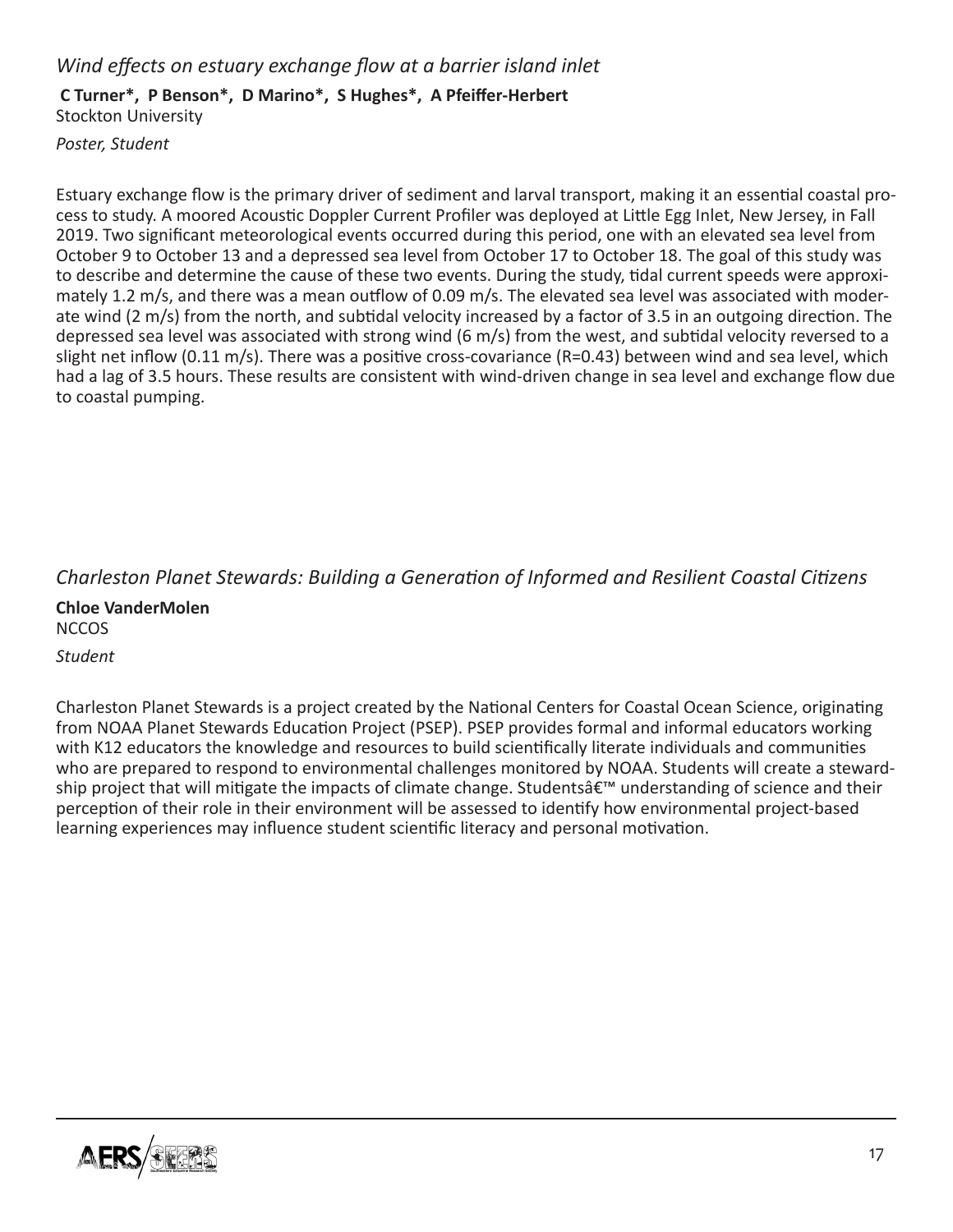#### *Wind effects on estuary exchange flow at a barrier island inlet*

#### **C Turner\*, P Benson\*, D Marino\*, S Hughes\*, A Pfeiffer-Herbert**

Stockton University

*Poster, Student*

Estuary exchange flow is the primary driver of sediment and larval transport, making it an essential coastal process to study. A moored Acoustic Doppler Current Profiler was deployed at Little Egg Inlet, New Jersey, in Fall 2019. Two significant meteorological events occurred during this period, one with an elevated sea level from October 9 to October 13 and a depressed sea level from October 17 to October 18. The goal of this study was to describe and determine the cause of these two events. During the study, tidal current speeds were approximately 1.2 m/s, and there was a mean outflow of 0.09 m/s. The elevated sea level was associated with moderate wind (2 m/s) from the north, and subtidal velocity increased by a factor of 3.5 in an outgoing direction. The depressed sea level was associated with strong wind (6 m/s) from the west, and subtidal velocity reversed to a slight net inflow (0.11 m/s). There was a positive cross-covariance (R=0.43) between wind and sea level, which had a lag of 3.5 hours. These results are consistent with wind-driven change in sea level and exchange flow due to coastal pumping.

## *Charleston Planet Stewards: Building a Generation of Informed and Resilient Coastal Citizens*

**Chloe VanderMolen** NCCOS *Student*

Charleston Planet Stewards is a project created by the National Centers for Coastal Ocean Science, originating from NOAA Planet Stewards Education Project (PSEP). PSEP provides formal and informal educators working with K12 educators the knowledge and resources to build scientifically literate individuals and communities who are prepared to respond to environmental challenges monitored by NOAA. Students will create a stewardship project that will mitigate the impacts of climate change. Studentsâ€<sup>™</sup> understanding of science and their perception of their role in their environment will be assessed to identify how environmental project-based learning experiences may influence student scientific literacy and personal motivation.

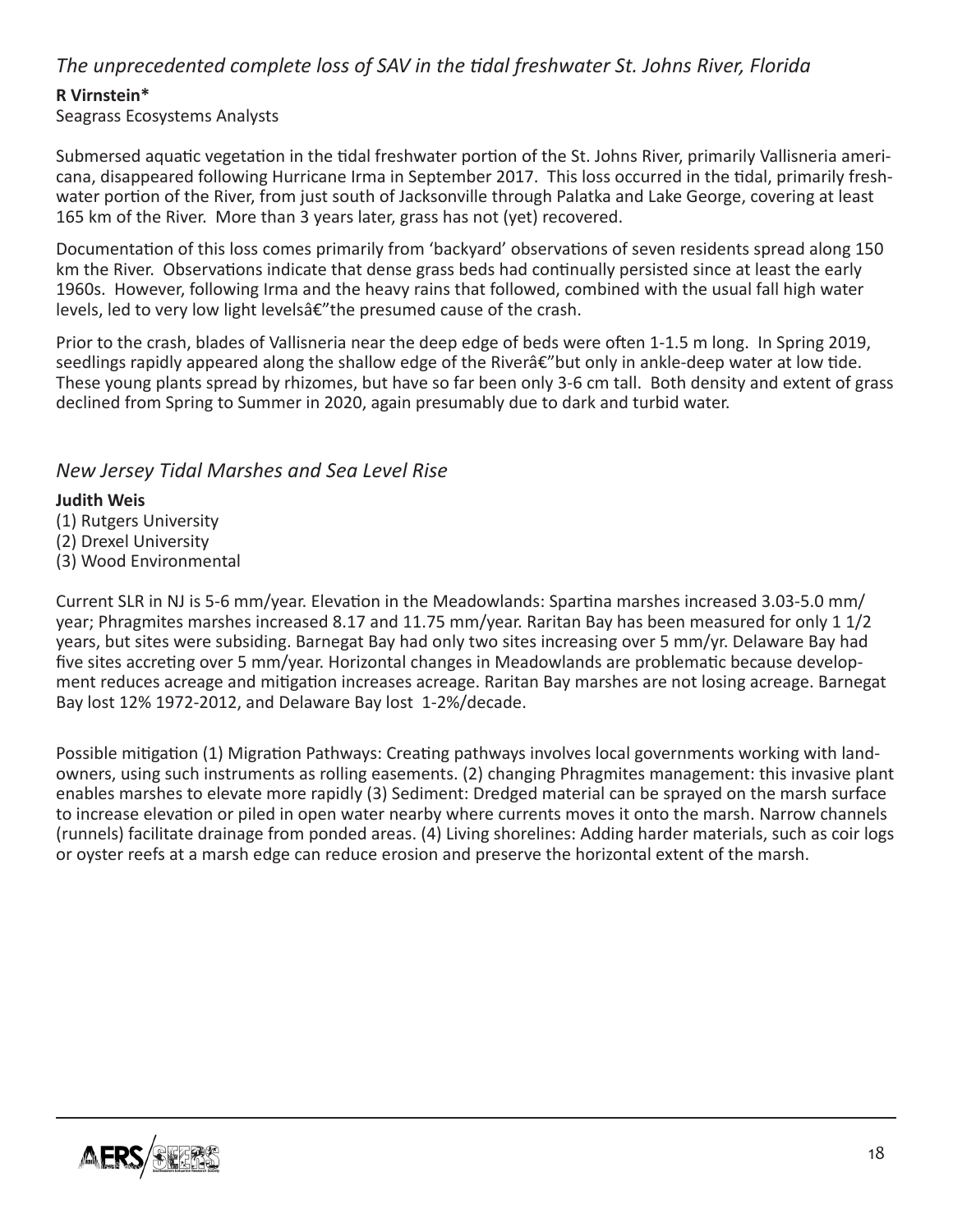## *The unprecedented complete loss of SAV in the tidal freshwater St. Johns River, Florida*

#### **R Virnstein\***

Seagrass Ecosystems Analysts

Submersed aquatic vegetation in the tidal freshwater portion of the St. Johns River, primarily Vallisneria americana, disappeared following Hurricane Irma in September 2017. This loss occurred in the tidal, primarily freshwater portion of the River, from just south of Jacksonville through Palatka and Lake George, covering at least 165 km of the River. More than 3 years later, grass has not (yet) recovered.

Documentation of this loss comes primarily from 'backyard' observations of seven residents spread along 150 km the River. Observations indicate that dense grass beds had continually persisted since at least the early 1960s. However, following Irma and the heavy rains that followed, combined with the usual fall high water levels, led to very low light levelsâ€"the presumed cause of the crash.

Prior to the crash, blades of Vallisneria near the deep edge of beds were often 1-1.5 m long. In Spring 2019, seedlings rapidly appeared along the shallow edge of the River $\hat{\alpha}\in\mathcal{C}$  but only in ankle-deep water at low tide. These young plants spread by rhizomes, but have so far been only 3-6 cm tall. Both density and extent of grass declined from Spring to Summer in 2020, again presumably due to dark and turbid water.

#### *New Jersey Tidal Marshes and Sea Level Rise*

#### **Judith Weis**

(1) Rutgers University

- (2) Drexel University
- (3) Wood Environmental

Current SLR in NJ is 5-6 mm/year. Elevation in the Meadowlands: Spartina marshes increased 3.03-5.0 mm/ year; Phragmites marshes increased 8.17 and 11.75 mm/year. Raritan Bay has been measured for only 1 1/2 years, but sites were subsiding. Barnegat Bay had only two sites increasing over 5 mm/yr. Delaware Bay had five sites accreting over 5 mm/year. Horizontal changes in Meadowlands are problematic because development reduces acreage and mitigation increases acreage. Raritan Bay marshes are not losing acreage. Barnegat Bay lost 12% 1972-2012, and Delaware Bay lost 1-2%/decade.

Possible mitigation (1) Migration Pathways: Creating pathways involves local governments working with landowners, using such instruments as rolling easements. (2) changing Phragmites management: this invasive plant enables marshes to elevate more rapidly (3) Sediment: Dredged material can be sprayed on the marsh surface to increase elevation or piled in open water nearby where currents moves it onto the marsh. Narrow channels (runnels) facilitate drainage from ponded areas. (4) Living shorelines: Adding harder materials, such as coir logs or oyster reefs at a marsh edge can reduce erosion and preserve the horizontal extent of the marsh.

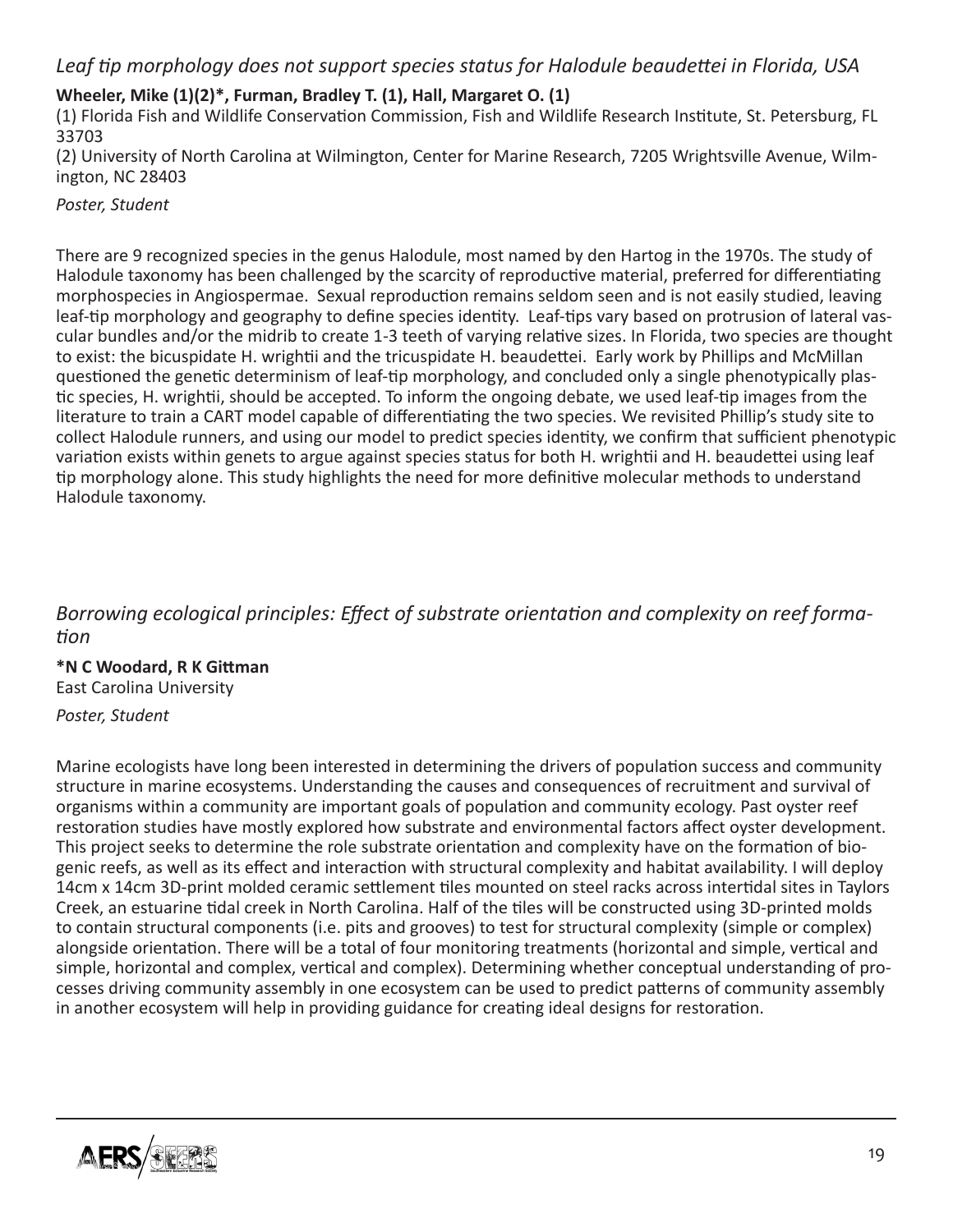## *Leaf tip morphology does not support species status for Halodule beaudettei in Florida, USA*

#### **Wheeler, Mike (1)(2)\*, Furman, Bradley T. (1), Hall, Margaret O. (1)**

(1) Florida Fish and Wildlife Conservation Commission, Fish and Wildlife Research Institute, St. Petersburg, FL 33703

(2) University of North Carolina at Wilmington, Center for Marine Research, 7205 Wrightsville Avenue, Wilmington, NC 28403

*Poster, Student*

There are 9 recognized species in the genus Halodule, most named by den Hartog in the 1970s. The study of Halodule taxonomy has been challenged by the scarcity of reproductive material, preferred for differentiating morphospecies in Angiospermae. Sexual reproduction remains seldom seen and is not easily studied, leaving leaf-tip morphology and geography to define species identity. Leaf-tips vary based on protrusion of lateral vascular bundles and/or the midrib to create 1-3 teeth of varying relative sizes. In Florida, two species are thought to exist: the bicuspidate H. wrightii and the tricuspidate H. beaudettei. Early work by Phillips and McMillan questioned the genetic determinism of leaf-tip morphology, and concluded only a single phenotypically plastic species, H. wrightii, should be accepted. To inform the ongoing debate, we used leaf-tip images from the literature to train a CART model capable of differentiating the two species. We revisited Phillip's study site to collect Halodule runners, and using our model to predict species identity, we confirm that sufficient phenotypic variation exists within genets to argue against species status for both H. wrightii and H. beaudettei using leaf tip morphology alone. This study highlights the need for more definitive molecular methods to understand Halodule taxonomy.

## *Borrowing ecological principles: Effect of substrate orientation and complexity on reef formation*

**\*N C Woodard, R K Gittman**  East Carolina University

*Poster, Student*

Marine ecologists have long been interested in determining the drivers of population success and community structure in marine ecosystems. Understanding the causes and consequences of recruitment and survival of organisms within a community are important goals of population and community ecology. Past oyster reef restoration studies have mostly explored how substrate and environmental factors affect oyster development. This project seeks to determine the role substrate orientation and complexity have on the formation of biogenic reefs, as well as its effect and interaction with structural complexity and habitat availability. I will deploy 14cm x 14cm 3D-print molded ceramic settlement tiles mounted on steel racks across intertidal sites in Taylors Creek, an estuarine tidal creek in North Carolina. Half of the tiles will be constructed using 3D-printed molds to contain structural components (i.e. pits and grooves) to test for structural complexity (simple or complex) alongside orientation. There will be a total of four monitoring treatments (horizontal and simple, vertical and simple, horizontal and complex, vertical and complex). Determining whether conceptual understanding of processes driving community assembly in one ecosystem can be used to predict patterns of community assembly in another ecosystem will help in providing guidance for creating ideal designs for restoration.